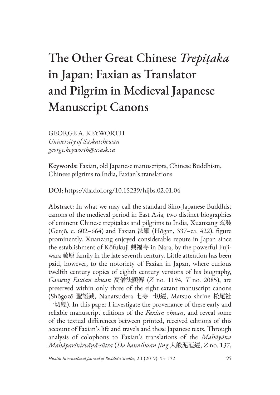# The Other Great Chinese *Trepiṭaka* in Japan: Faxian as Translator and Pilgrim in Medieval Japanese Manuscript Canons

GEORGE A. KEYWORTH *University of Saskatchewan george.keyworth@usask.ca*

Keywords: Faxian, old Japanese manuscripts, Chinese Buddhism, Chinese pilgrims to India, Faxian's translations

DOI: https://dx.doi.org/10.15239/hijbs.02.01.04

Abstract: In what we may call the standard Sino-Japanese Buddhist canons of the medieval period in East Asia, two distinct biographies of eminent Chinese trepiṭakas and pilgrims to India, Xuanzang 玄奘 (Genjō, c. 602–664) and Faxian 法顯 (Hōgan, 337–ca. 422), figure prominently. Xuanzang enjoyed considerable repute in Japan since the establishment of Kōfukuji 興福寺 in Nara, by the powerful Fujiwara 藤原 family in the late seventh century. Little attention has been paid, however, to the notoriety of Faxian in Japan, where curious twelfth century copies of eighth century versions of his biography, *Gaoseng Faxian zhuan* 高僧法顯傳 (*Z* no. 1194, *T* no. 2085), are preserved within only three of the eight extant manuscript canons (Shōgozō 聖語藏, Nanatsudera 七寺一切經, Matsuo shrine 松尾社 一切經). In this paper I investigate the provenance of these early and reliable manuscript editions of the *Faxian zhuan*, and reveal some of the textual differences between printed, received editions of this account of Faxian's life and travels and these Japanese texts. Through analysis of colophons to Faxian's translations of the *Mahāyāna Mahāparinirvāṇā-sūtra* (*Da bannihuan jing* 大般泥洹經, *Z* no. 137,

*Hualin International Journal of Buddhist Studies*, 2.1 (2019): 95–132 95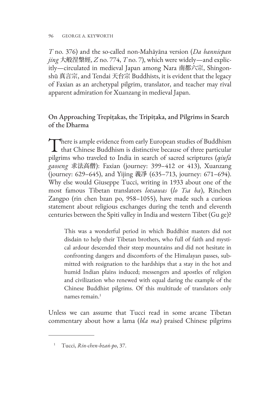#### 96 GEORGE A. KEYWORTH

*T* no. 376) and the so-called non-Mahāyāna version (*Da banniepan jing* 大般涅槃經, *Z* no. 774, *T* no. 7), which were widely—and explicitly—circulated in medieval Japan among Nara 南都六宗, Shingonshū 真言宗, and Tendai 天台宗 Buddhists, it is evident that the legacy of Faxian as an archetypal pilgrim, translator, and teacher may rival apparent admiration for Xuanzang in medieval Japan.

# On Approaching Trepiṭakas, the Tripiṭaka, and Pilgrims in Search of the Dharma

There is ample evidence from early European studies of Buddhism<br>that Chinese Buddhism is distinctive because of three particular pilgrims who traveled to India in search of sacred scriptures (*qiufa gaoseng* 求法高僧): Faxian (journey: 399–412 or 413), Xuanzang (journey: 629–645), and Yijing 義凈 (635–713, journey: 671–694). Why else would Giuseppe Tucci, writing in 1933 about one of the most famous Tibetan translators *lotsawas* (*lo Tsa ba*), Rinchen Zangpo (rin chen bzan po, 958–1055), have made such a curious statement about religious exchanges during the tenth and eleventh centuries between the Spiti valley in India and western Tibet (Gu ge)?

This was a wonderful period in which Buddhist masters did not disdain to help their Tibetan brothers, who full of faith and mystical ardour descended their steep mountains and did not hesitate in confronting dangers and discomforts of the Himalayan passes, submitted with resignation to the hardships that a stay in the hot and humid Indian plains induced; messengers and apostles of religion and civilization who renewed with equal daring the example of the Chinese Buddhist pilgrims. Of this multitude of translators only names remain $<sup>1</sup>$ </sup>

Unless we can assume that Tucci read in some arcane Tibetan commentary about how a lama (*bla ma*) praised Chinese pilgrims

<sup>1</sup> Tucci, *Rin-chen-bzaṅ-po*, 37.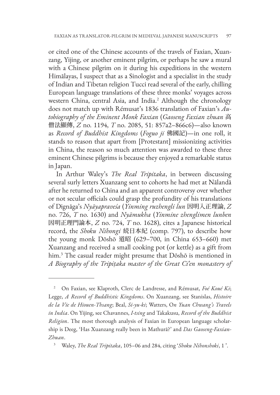or cited one of the Chinese accounts of the travels of Faxian, Xuanzang, Yijing, or another eminent pilgrim, or perhaps he saw a mural with a Chinese pilgrim on it during his expeditions in the western Himālayas, I suspect that as a Sinologist and a specialist in the study of Indian and Tibetan religion Tucci read several of the early, chilling European language translations of these three monks' voyages across western China, central Asia, and India.<sup>2</sup> Although the chronology does not match up with Rémusat's 1836 translation of Faxian's *Autobiography of the Eminent Monk Faxian* (*Gaoseng Faxian zhuan* 高 僧法顯傳, *Z* no. 1194, *T* no. 2085, 51: 857a2–866c6)—also known as *Record of Buddhist Kingdoms* (*Foguo ji* 佛國記)—in one roll, it stands to reason that apart from [Protestant] missionizing activities in China, the reason so much attention was awarded to these three eminent Chinese pilgrims is because they enjoyed a remarkable status in Japan.

In Arthur Waley's *The Real Tripitaka*, in between discussing several surly letters Xuanzang sent to cohorts he had met at Nālandā after he returned to China and an apparent controversy over whether or not secular officials could grasp the profundity of his translations of Dignāga's *Nyāyapraveśa* (*Yinming ruzhengli lun* 因明入正理論, *Z* no. 726, *T* no. 1630) and *Nyāmukha* (*Yinmine zhenglimen lunben* 因明正理門論本, *Z* no. 724, *T* no. 1628), cites a Japanese historical record, the *Shoku Nihongi* 続日本紀 (comp. 797), to describe how the young monk Dōshō 道昭 (629–700, in China 653–660) met Xuanzang and received a small cooking pot (or kettle) as a gift from him.3 The casual reader might presume that Dōshō is mentioned in *A Biography of the Tripiṭaka master of the Great Ci'en monastery of* 

<sup>2</sup> On Faxian, see Klaproth, Clerc de Landresse, and Rémusat, *Foé Koué Ki*; Legge, *A Record of Buddhistic Kingdoms*. On Xuanzang, see Stanislas, *Histoire de la Vie de Hiouen-Thsang*; Beal, *Si-yu-ki*; Watters, O*n Yuan Chwang's Travels in India*. On Yijing, see Chavannes, *I-tsing* and Takakusu, *Record of the Buddhist Religion*. The most thorough analysis of Faxian in European language scholarship is Deeg, 'Has Xuanzang really been in Mathurā?' and *Das Gaoseng-Faxian-Zhuan*.

<sup>3</sup> Waley, *The Real Tripitaka*, 105–06 and 284, citing '*Shoku Nihonshoki*, 1 '.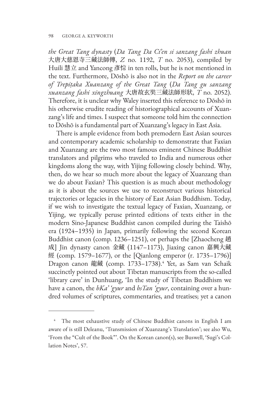*the Great Tang dynasty* (*Da Tang Da Ci'en si sanzang fashi zhuan* 大唐大慈恩寺三藏法師傳, *Z* no. 1192, *T* no. 2053), compiled by Huili 慧立 and Yancong 彥悰 in ten rolls, but he is not mentioned in the text. Furthermore, Dōshō is also not in the *Report on the career of Trepiṭaka Xuanzang of the Great Tang* (*Da Tang gu sanzang xuanzang fashi xingzhuang* 大唐故玄奘三藏法師形狀, *T* no. 2052). Therefore, it is unclear why Waley inserted this reference to Dōshō in his otherwise erudite reading of historiographical accounts of Xuanzang's life and times. I suspect that someone told him the connection to Dōshō is a fundamental part of Xuanzang's legacy in East Asia.

There is ample evidence from both premodern East Asian sources and contemporary academic scholarship to demonstrate that Faxian and Xuanzang are the two most famous eminent Chinese Buddhist translators and pilgrims who traveled to India and numerous other kingdoms along the way, with Yijing following closely behind. Why, then, do we hear so much more about the legacy of Xuanzang than we do about Faxian? This question is as much about methodology as it is about the sources we use to reconstruct various historical trajectories or legacies in the history of East Asian Buddhism. Today, if we wish to investigate the textual legacy of Faxian, Xuanzang, or Yijing, we typically peruse printed editions of texts either in the modern Sino-Japanese Buddhist canon compiled during the Taishō era (1924–1935) in Japan, primarily following the second Korean Buddhist canon (comp. 1236–1251), or perhaps the [Zhaocheng 趙 成] Jin dynasty canon 金藏 (1147–1173), Jiaxing canon 嘉興大藏 經 (comp. 1579–1677), or the [Qianlong emperor (r. 1735–1796)] Dragon canon 龍藏 (comp. 1733–1738).<sup>4</sup> Yet, as Sam van Schaik succinctly pointed out about Tibetan manuscripts from the so-called 'library cave' in Dunhuang, 'In the study of Tibetan Buddhism we have a canon, the *bKa' 'gyur* and *bsTan 'gyur*, containing over a hundred volumes of scriptures, commentaries, and treatises; yet a canon

<sup>&</sup>lt;sup>4</sup> The most exhaustive study of Chinese Buddhist canons in English I am aware of is still Deleanu, 'Transmission of Xuanzang's Translation'; see also Wu, 'From the "Cult of the Book"'. On the Korean canon(s), see Buswell, 'Sugi's Collation Notes', 57.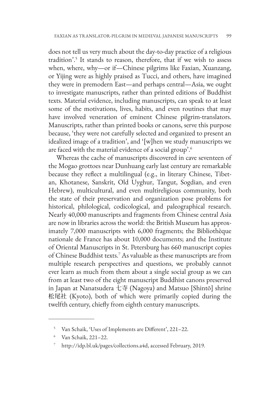does not tell us very much about the day-to-day practice of a religious tradition'.5 It stands to reason, therefore, that if we wish to assess when, where, why—or if—Chinese pilgrims like Faxian, Xuanzang, or Yijing were as highly praised as Tucci, and others, have imagined they were in premodern East—and perhaps central—Asia, we ought to investigate manuscripts, rather than printed editions of Buddhist texts. Material evidence, including manuscripts, can speak to at least some of the motivations, lives, habits, and even routines that may have involved veneration of eminent Chinese pilgrim-translators. Manuscripts, rather than printed books or canons, serve this purpose because, 'they were not carefully selected and organized to present an idealized image of a tradition', and '[w]hen we study manuscripts we are faced with the material evidence of a social group'.<sup>6</sup>

Whereas the cache of manuscripts discovered in cave seventeen of the Mogao grottoes near Dunhuang early last century are remarkable because they reflect a multilingual (e.g., in literary Chinese, Tibetan, Khotanese, Sanskrit, Old Uyghur, Tangut, Sogdian, and even Hebrew), multicultural, and even multireligious community, both the state of their preservation and organization pose problems for historical, philological, codicological, and paleographical research. Nearly 40,000 manuscripts and fragments from Chinese central Asia are now in libraries across the world: the British Museum has approximately 7,000 manuscripts with 6,000 fragments; the Bibliothèque nationale de France has about 10,000 documents; and the Institute of Oriental Manuscripts in St. Petersburg has 660 manuscript copies of Chinese Buddhist texts.7 As valuable as these manuscripts are from multiple research perspectives and questions, we probably cannot ever learn as much from them about a single social group as we can from at least two of the eight manuscript Buddhist canons preserved in Japan at Nanatsudera 七寺 (Nagoya) and Matsuo [Shintō] shrine 松尾社 (Kyoto), both of which were primarily copied during the twelfth century, chiefly from eighth century manuscripts.

<sup>5</sup> Van Schaik, 'Uses of Implements are Different', 221–22.

<sup>6</sup> Van Schaik, 221–22.

<sup>7</sup> http://idp.bl.uk/pages/collections.a4d, accessed February, 2019.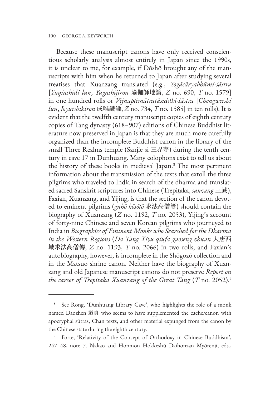Because these manuscript canons have only received conscientious scholarly analysis almost entirely in Japan since the 1990s, it is unclear to me, for example, if Dōshō brought any of the manuscripts with him when he returned to Japan after studying several treatises that Xuanzang translated (e.g., *Yogācāryabhūmi-śāstra* [*Yuqiashidi lun*, *Yugashijiron* 瑜伽師地論, *Z* no. 690, *T* no. 1579] in one hundred rolls or *Vijñaptimātratāsiddhi-śāstra* [*Chengweishi lun*, *Jōyuishikiron* 成唯識論, *Z* no. 734, *T* no. 1585] in ten rolls). It is evident that the twelfth century manuscript copies of eighth century copies of Tang dynasty (618–907) editions of Chinese Buddhist literature now preserved in Japan is that they are much more carefully organized than the incomplete Buddhist canon in the library of the small Three Realms temple (Sanjie si 三界寺) during the tenth century in cave 17 in Dunhuang. Many colophons exist to tell us about the history of these books in medieval Japan.8 The most pertinent information about the transmission of the texts that extoll the three pilgrims who traveled to India in search of the dharma and translated sacred Sanskrit scriptures into Chinese (Trepiṭaka, *sanzang* 三藏), Faxian, Xuanzang, and Yijing, is that the section of the canon devoted to eminent pilgrims (*guhō kōsōtō* 求法高僧等) should contain the biography of Xuanzang (*Z* no. 1192, *T* no. 2053), Yijing's account of forty-nine Chinese and seven Korean pilgrims who journeyed to India in *Biographies of Eminent Monks who Searched for the Dharma in the Western Regions* (*Da Tang Xiyu qiufa gaoseng zhuan* 大唐西 域求法高僧傳, *Z* no. 1193, *T* no. 2066) in two rolls, and Faxian's autobiography, however, is incomplete in the Shōgozō collection and in the Matsuo shrine canon. Neither have the biography of Xuanzang and old Japanese manuscript canons do not preserve *Report on the career of Trepiṭaka Xuanzang of the Great Tang* (*T* no. 2052).9

See Rong, 'Dunhuang Library Cave', who highlights the role of a monk named Daozhen 道真 who seems to have supplemented the cache/canon with apocryphal sūtras, Chan texts, and other material expunged from the canon by the Chinese state during the eighth century.

<sup>9</sup> Forte, 'Relativity of the Concept of Orthodoxy in Chinese Buddhism', 247–48, note 7. Nakao and Honmon Hokkeshū Daihonzan Myōrenji, eds.,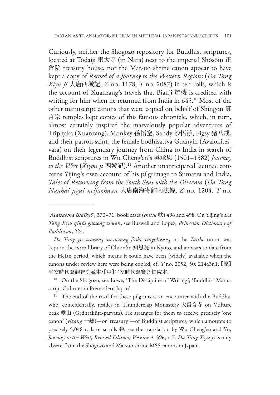Curiously, neither the Shōgozō repository for Buddhist scriptures, located at Tōdaiji 東大寺 (in Nara) next to the imperial Shōsōin 正 倉院 treasury house, nor the Matsuo shrine canon appear to have kept a copy of *Record of a Journey to the Western Regions* (*Da Tang Xiyu ji* 大唐西域記, *Z* no. 1178, *T* no. 2087) in ten rolls, which is the account of Xuanzang's travels that Bianji 辯機 is credited with writing for him when he returned from India in 645.10 Most of the other manuscript canons that were copied on behalf of Shingon 真 言宗 temples kept copies of this famous chronicle, which, in turn, almost certainly inspired the marvelously popular adventures of Tripiṭaka (Xuanzang), Monkey 孫悟空, Sandy 沙悟淨, Pigsy 豬八戒, and their patron-saint, the female bodhisattva Guanyin (Avalokiteśvara) on their legendary journey from China to India in search of Buddhist scriptures in Wu Cheng'en's 吳承恩 (1501–1582) *Journey to the West* (*Xiyou ji* 西遊記).11 Another unanticipated lacunae concerns Yijing's own account of his pilgrimage to Sumatra and India, *Tales of Returning from the South Seas with the Dharma* (*Da Tang Nanhai jigui neifazhuan* 大唐南海寄歸內法傳, *Z* no. 1204, *T* no.

<sup>&#</sup>x27;*Matsuosha issaikyō*', 370–71: book cases (*chitsu* 帙) 496 and 498. On Yijing's *Da Tang Xiyu qiufa gaoseng zhuan*, see Buswell and Lopez, *Princeton Dictionary of Buddhism*, 224.

*Da Tang gu sanzang xuanzang fashi xingzhuang* in the *Taishō* canon was kept in the *sūtra* library of Chion'in 知恩院 in Kyoto, and appears to date from the Heian period, which means it could have been [widely] available when the canons under review here were being copied; cf. *T* no. 2052, 50: 214a3n1: 【原】 平安時代寫觀智院藏本,【甲】平安時代寫寶菩提院本.

<sup>&</sup>lt;sup>10</sup> On the Shōgozō, see Lowe, 'The Discipline of Writing'; 'Buddhist Manuscript Cultures in Premodern Japan'.

<sup>&</sup>lt;sup>11</sup> The end of the road for these pilgrims is an encounter with the Buddha, who, coincidentally, resides in Thunderclap Monastery 大雷音寺 on Vulture peak 靈山 (Gṛdhrakūṭa-parvata). He arranges for them to receive precisely 'one canon' (*yizang* 一藏)—or 'treasury'—of Buddhist scriptures, which amounts to precisely 5,048 rolls or scrolls 卷; see the translation by Wu Cheng'en and Yu, *Journey to the West, Revised Edition, Volume 4*, 396, n.7. *Da Tang Xiyu ji* is only absent from the Shōgozō and Matsuo shrine MSS canons in Japan.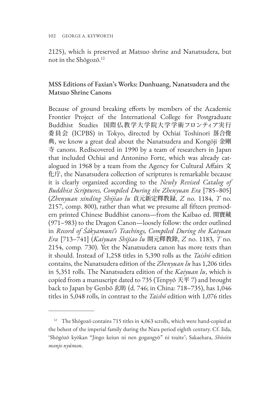2125), which is preserved at Matsuo shrine and Nanatsudera, but not in the Shōgozō.12

# MSS Editions of Faxian's Works: Dunhuang, Nanatsudera and the Matsuo Shrine Canons

Because of ground breaking efforts by members of the Academic Frontier Project of the International College for Postgraduate Buddhist Studies 国際仏教学大学院大学学術フロンティア実行 委員会 (ICPBS) in Tokyo, directed by Ochiai Toshinori 落合俊 典, we know a great deal about the Nanatsudera and Kongōji 金剛 寺 canons. Rediscovered in 1990 by a team of researchers in Japan that included Ochiai and Antonino Forte, which was already catalogued in 1968 by a team from the Agency for Cultural Affairs 文 化庁, the Nanatsudera collection of scriptures is remarkable because it is clearly organized according to the *Newly Revised Catalog of Buddhist Scriptures, Compiled During the Zhenyuan Era* [785–805] (*Zhenyuan xinding Shijiao lu* 貞元新定釋教録, *Z* no. 1184, *T* no. 2157, comp. 800), rather than what we presume all fifteen premodern printed Chinese Buddhist canons—from the Kaibao ed. 開寶藏 (971–983) to the Dragon Canon—loosely follow: the order outlined in *Record of Śākyamuni's Teachings, Compiled During the Kaiyuan Era* [713–741] (*Kaiyuan Shijiao lu* 開元釋教錄, *Z* no. 1183, *T* no. 2154, comp. 730). Yet the Nanatsudera canon has more texts than it should. Instead of 1,258 titles in 5,390 rolls as the *Taishō* edition contains, the Nanatsudera edition of the *Zhenyuan lu* has 1,206 titles in 5,351 rolls. The Nanatsudera edition of the *Kaiyuan lu*, which is copied from a manuscript dated to 735 (Tenpyō 天平 7) and brought back to Japan by Genbō 玄昉 (d. 746; in China: 718–735), has 1,046 titles in 5,048 rolls, in contrast to the *Taishō* edition with 1,076 titles

<sup>&</sup>lt;sup>12</sup> The Shōgozō contains 715 titles in 4,063 scrolls, which were hand-copied at the behest of the imperial family during the Nara period eighth century. Cf. Iida, 'Shōgōzō kyōkan "Jingo keiun ni nen gogangyō" ni tsuite'; Sakaehara, *Shōsōin monjo nyūmon*.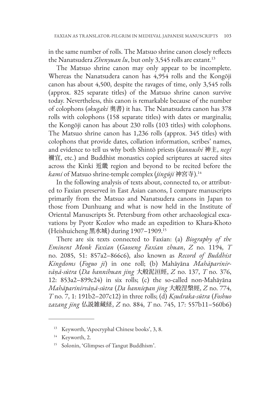in the same number of rolls. The Matsuo shrine canon closely reflects the Nanatsudera *Zhenyuan lu*, but only 3,545 rolls are extant.<sup>13</sup>

The Matsuo shrine canon may only appear to be incomplete. Whereas the Nanatsudera canon has 4,954 rolls and the Kongōji canon has about 4,500, despite the ravages of time, only 3,545 rolls (approx. 825 separate titles) of the Matsuo shrine canon survive today. Nevertheless, this canon is remarkable because of the number of colophons (*okugaki* 奥書) it has. The Nanatsudera canon has 378 rolls with colophons (158 separate titles) with dates or marginalia; the Kongōji canon has about 230 rolls (103 titles) with colophons. The Matsuo shrine canon has 1,236 rolls (approx. 345 titles) with colophons that provide dates, collation information, scribes' names, and evidence to tell us why both Shintō priests (*kannushi* 神主, *negi* 禰宜, etc.) and Buddhist monastics copied scriptures at sacred sites across the Kinki 近畿 region and beyond to be recited before the *kami* of Matsuo shrine-temple complex (*jingūji* 神宮寺).14

In the following analysis of texts about, connected to, or attributed to Faxian preserved in East Asian canons, I compare manuscripts primarily from the Matsuo and Nanatsudera canons in Japan to those from Dunhuang and what is now held in the Institute of Oriental Manuscripts St. Petersburg from other archaeological excavations by Pyotr Kozlov who made an expedition to Khara-Khoto (Heishuicheng 黑水城) during 1907–1909.15

There are six texts connected to Faxian: (a) *Biography of the Eminent Monk Faxian* (*Gaoseng Faxian zhuan*, *Z* no. 1194, *T* no. 2085, 51: 857a2–866c6), also known as *Record of Buddhist Kingdoms* (*Foguo ji*) in one roll; (b) Mahāyāna *Mahāparinirvāṇā-sūtra* (*Da bannihuan jing* 大般泥洹經, *Z* no. 137, *T* no. 376, 12: 853a2–899c24) in six rolls; (c) the so-called non-Mahāyāna *Mahāparinirvāṇā-sūtra* (*Da banniepan jing* 大般涅槃經, *Z* no. 774, *T* no. 7, 1: 191b2–207c12) in three rolls; (d) *Kṣudraka-sūtra* (*Foshuo zazang jing* 仏説雑藏経, *Z* no. 884, *T* no. 745, 17: 557b11–560b6)

<sup>13</sup> Keyworth, 'Apocryphal Chinese books', 3, 8.

<sup>14</sup> Keyworth, 2.

<sup>15</sup> Solonin, 'Glimpses of Tangut Buddhism'.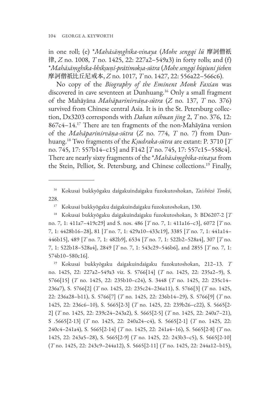in one roll; (e) \**Mahāsāṃghika-vinaya* (*Mohe sengqi lü* 摩訶僧祇 律, *Z* no. 1008, *T* no. 1425, 22: 227a2–549a3) in forty rolls; and (f) \**Mahāsāṃghika-bhikṣuṇī-prātimokṣa-sūtra* (*Mohe sengqi biqiuni jieben* 摩訶僧祇比丘尼戒本, *Z* no. 1017, *T* no. 1427, 22: 556a22-566c6).

No copy of the *Biography of the Eminent Monk Faxian* was discovered in cave seventeen at Dunhuang.16 Only a small fragment of the Mahāyāna *Mahāparinirvāṇa-sūtra* (*Z* no. 137, *T* no. 376) survived from Chinese central Asia. It is in the St. Petersburg collection, Dx3203 corresponds with *Daban nihuan jing* 2, *T* no. 376, 12: 867c4–14.17 There are ten fragments of the non-Mahāyāna version of the *Mahāparinirvāṇa-sūtra* (*Z* no. 774, *T* no. 7) from Dunhuang.18 Two fragments of the *Kṣudraka-sūtra* are extant: P. 3710 [*T* no. 745, 17: 557b14–c15] and F142 [*T* no. 745, 17: 557c15–558c4]. There are nearly sixty fragments of the \**Mahāsāṃghika-vinaya* from the Stein, Pelliot, St. Petersburg, and Chinese collections.19 Finally,

<sup>16</sup> Kokusai bukkyōgaku daigakuindaigaku fuzokutoshokan, *Taishōzō Tonkō*, 228.

<sup>17</sup> Kokusai bukkyōgaku daigakuindaigaku fuzokutoshokan, 130.

<sup>18</sup> Kokusai bukkyōgaku daigakuindaigaku fuzokutoshokan, 3: BD6207-2 [*T* no. 7, 1: 411a7–419c29] and S. nos. 486 [*T* no. 7, 1: 411a16–c3], 6072 [*T* no. 7, 1: 4428b16–28], 81 [*T* no. 7, 1: 429a10–433c19], 3385 [*T* no. 7, 1: 441a14– 446b15], 489 [*T* no. 7, 1: 482b9], 6534 [*T* no. 7, 1: 522b2–528a4], 307 [*T* no. 7, 1: 522b18–528a4], 2849 [*T* no. 7, 1: 543c29–546b6], and 2855 [*T* no. 7, 1: 574b10–580c16].

<sup>19</sup> Kokusai bukkyōgaku daigakuindaigaku fuzokutoshokan, 212–13. *T* no. 1425, 22: 227a2–549a3 viz. S. 5766[14] (*T* no. 1425, 22: 235a2–9), S. 5766[15] (*T* no. 1425, 22: 235b10–c24), S. 3448 (*T* no. 1425, 22: 235c14– 236a7), S. 5766[2] (*T* no. 1425, 22: 235c24–236a11), S. 5766[3] (*T* no. 1425, 22: 236a28–b11), S. 5766[7] (*T* no. 1425, 22: 236b14–29), S. 5766[9] (*T* no. 1425, 22: 236c6–10), S. 5665[2-3] (*T* no. 1425, 22: 239b26–c22), S. 5665[2- 2] (*T* no. 1425, 22: 239c24–243a2), S. 5665[2-5] (*T* no. 1425, 22: 240a7–21), S .5665[2-13] (*T* no. 1425, 22: 240a24–c4), S. 5665[2-1] (*T* no. 1425, 22: 240c4–241a4), S. 5665[2-14] (*T* no. 1425, 22: 241a4–16), S. 5665[2-8] (*T* no. 1425, 22: 243a5–28), S. 5665[2-9] (*T* no. 1425, 22: 243b3–c5), S. 5665[2-10] (*T* no. 1425, 22: 243c9–244a12), S. 5665[2-11] (*T* no. 1425, 22: 244a12–b15),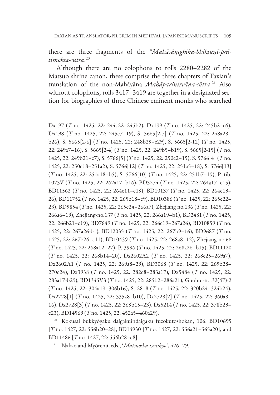there are three fragments of the \**Mahāsāṃghika-bhikṣuṇī-prātimokṣa-sūtra*. 20

Although there are no colophons to rolls 2280–2282 of the Matsuo shrine canon, these comprise the three chapters of Faxian's translation of the non-Mahāyāna *Mahāparinirvāṇa-sūtra*. <sup>21</sup> Also without colophons, rolls 3417–3419 are together in a designated section for biographies of three Chinese eminent monks who searched

<sup>20</sup> Kokusai bukkyōgaku daigakuindaigaku fuzokutoshokan, 106: BD10695 [*T* no. 1427, 22: 556b20–28], BD14930 [*T* no. 1427, 22: 556a21–565a20], and BD11486 [*T* no. 1427, 22: 556b28–c8].

<sup>21</sup> Nakao and Myōrenji, eds., '*Matsuosha issaikyō*', 426–29.

Dx197 (*T* no. 1425, 22: 244c22–245b2), Dх199 (*T* no. 1425, 22: 245b2–c6), Dх198 (*T* no. 1425, 22: 245c7–19), S. 5665[2-7] (*T* no. 1425, 22: 248a28– b26), S. 5665[2-6] (*T* no. 1425, 22: 248b29–c29), S. 5665[2-12] (*T* no. 1425, 22: 249a7–16), S. 5665[2-4] (*T* no. 1425, 22: 249b5–b19), S. 5665[2-15] (*T* no. 1425, 22: 249b21–c7), S. 5766[5] (*T* no. 1425, 22: 250c2–15), S. 5766[4] (*T* no. 1425, 22: 250c18–251a2), S. 5766[12] (*T* no. 1425, 22: 251a5–18), S. 5766[13] (*T* no. 1425, 22: 251a18–b5), S. 5766[10] (*T* no. 1425, 22: 251b7–19), P. tib. 1073V (*T* no. 1425, 22: 262a17–b16), BD5274 (*T* no. 1425, 22: 264a17–c15), BD11562 (*T* no. 1425, 22: 264c11–c19), BD10137 (*T* no. 1425, 22: 264c19– 26), BD11752 (*T* no. 1425, 22: 265b18–c9), BD10386 (*T* no. 1425, 22: 265c22– 23), BD9854 (*T* no. 1425, 22: 265c24–266a7), Zhejiang no.136 (*T* no. 1425, 22: 266a6–19), Zhejiang-no.137 (*T* no. 1425, 22: 266a19–b1), BD2481 (*T* no. 1425, 22: 266b21–c19), BD7649 (*T* no. 1425, 22: 266c19–267a26), BD10859 (*T* no. 1425, 22: 267a26-b1), BD12035 (*T* no. 1425, 22: 267b9–16), BD9687 (*T* no. 1425, 22: 267b26–c11), BD10439 (*T* no. 1425, 22: 268a8–12), Zhejiang no.66 (*T* no. 1425, 22: 268a12–27), P. 3996 (*T* no. 1425, 22: 268a26–b15), BD11120 (*T* no. 1425, 22: 268b14–20), Dх2602A2 (*T* no. 1425, 22: 268c25–269a7), Dх2602A1 (*T* no. 1425, 22: 269a8–29), BD3068 (*T* no. 1425, 22: 269b28– 270c24), Dх3938 (*T* no. 1425, 22: 282c8–283a17), Dх5484 (*T* no. 1425, 22: 283a17-b29), BD1345V3 (*T* no. 1425, 22: 285b2–286a21), Guohui-no.32(47)-2 (*T* no. 1425, 22: 304a19–306b16), S. 2818 (*T* no. 1425, 22: 320b24–324b24), Dх2728[1] (*T* no. 1425, 22: 335a8–b10), Dх2728[2] (*T* no. 1425, 22: 360a8– 16), Dх2728[3] (*T* no. 1425, 22: 369b15–23), Dх5214 (*T* no. 1425, 22: 378b29– c23), BD14569 (*T* no. 1425, 22: 452a5–460a29).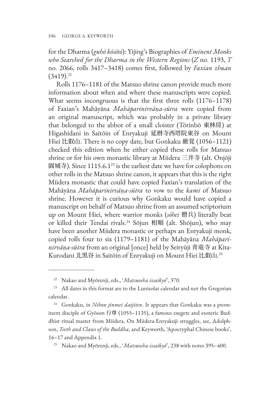for the Dharma (*guhō kōsōtō*): Yijing's Biographies of *Eminent Monks who Searched for the Dharma in the Western Regions* (*Z* no. 1193, *T* no. 2066, rolls 3417–3418) comes first, followed by *Faxian zhuan*  $(3419).^{22}$ 

Rolls 1176–1181 of the Matsuo shrine canon provide much more information about when and where these manuscripts were copied. What seems incongruous is that the first three rolls (1176–1178) of Faxian's Mahāyāna *Mahāparinirvāṇa-sūtra* were copied from an original manuscript, which was probably in a private library that belonged to the abbot of a small cloister (Tōrinbō 東林房) at Higashidani in Saitōin of Enryakuji 延暦寺西塔院東谷 on Mount Hiei 比叡山. There is no copy date, but Gonkaku 厳覚 (1056–1121) checked this edition when he either copied these rolls for Matsuo shrine or for his own monastic library at Miidera 三井寺 (alt. Onjōji 園城寺). Since 1115.6.123 is the earliest date we have for colophons on other rolls in the Matsuo shrine canon, it appears that this is the right Miidera monastic that could have copied Faxian's translation of the Mahāyāna *Mahāparinirvāṇa-sūtra* to vow to the *kami* of Matsuo shrine. However it is curious why Gonkaku would have copied a manuscript on behalf of Matsuo shrine from an assumed scriptorium up on Mount Hiei, where warrior monks (*sōhei* 僧兵) literally beat or killed their Tendai rivals.24 Sōjun 相順 (alt. Shōjun), who may have been another Miidera monastic or perhaps an Enryakuji monk, copied rolls four to six (1179–1181) of the Mahāyāna *Mahāparinirvāṇa-sūtra* from an original [once] held by Seiryūji 青竜寺 at Kita-Kurodani 北黒谷 in Saitōin of Enryakuji on Mount Hiei 比叡山.<sup>25</sup>

<sup>22</sup> Nakao and Myōrenji, eds., '*Matsuosha issaikyō*', 370.

<sup>&</sup>lt;sup>23</sup> All dates in this format are to the Lunisolar calendar and not the Gregorian calendar.

<sup>24</sup> Gonkaku, in *Nihon jinmei daijiten*. It appears that Gonkaku was a prominent disciple of Gyōson 行尊 (1055–1135), a famous exegete and esoteric Buddhist ritual master from Miidera. On Miidera-Enryakuji struggles, see, Adolphson, *Teeth and Claws of the Buddha*, and Keyworth, 'Apocryphal Chinese books', 16–17 and Appendix 1.

<sup>25</sup> Nakao and Myōrenji, eds., '*Matsuosha issaikyō*', 238 with notes 395–400.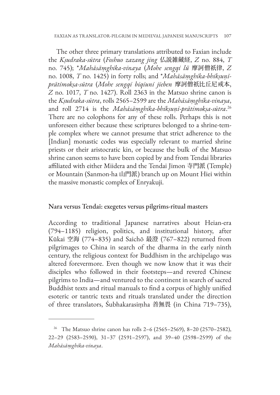The other three primary translations attributed to Faxian include the *Kṣudraka-sūtra* (*Foshuo zazang jing* 仏説雑藏経, *Z* no. 884, *T*  no. 745); \**Mahāsāṃghika-vinaya* (*Mohe sengqi lü* 摩訶僧祇律, *Z* no. 1008, *T* no. 1425) in forty rolls; and \**Mahāsāṃghika-bhikṣuṇīprātimokṣa-sūtra* (*Mohe sengqi biqiuni jieben* 摩訶僧祇比丘尼戒本, *Z* no. 1017, *T* no. 1427). Roll 2363 in the Matsuo shrine canon is the *Kṣudraka-sūtra*, rolls 2565–2599 are the *Mahāsāṃghika-vinaya*, and roll 2714 is the *Mahāsāṃghika-bhikṣuṇī-prātimokṣa-sūtra*. 26 There are no colophons for any of these rolls. Perhaps this is not unforeseen either because these scriptures belonged to a shrine-temple complex where we cannot presume that strict adherence to the [Indian] monastic codes was especially relevant to married shrine priests or their aristocratic kin, or because the bulk of the Matsuo shrine canon seems to have been copied by and from Tendai libraries affiliated with either Miidera and the Tendai Jimon 寺門派 (Temple) or Mountain (Sanmon-ha 山門派) branch up on Mount Hiei within the massive monastic complex of Enryakuji.

### Nara versus Tendai: exegetes versus pilgrims-ritual masters

According to traditional Japanese narratives about Heian-era (794–1185) religion, politics, and institutional history, after Kūkai 空海 (774–835) and Saichō 最澄 (767–822) returned from pilgrimages to China in search of the dharma in the early ninth century, the religious context for Buddhism in the archipelago was altered forevermore. Even though we now know that it was their disciples who followed in their footsteps—and revered Chinese pilgrims to India—and ventured to the continent in search of sacred Buddhist texts and ritual manuals to find a corpus of highly unified esoteric or tantric texts and rituals translated under the direction of three translators, Śubhakarasiṃha 善無畏 (in China 719–735),

<sup>&</sup>lt;sup>26</sup> The Matsuo shrine canon has rolls 2–6 (2565–2569), 8–20 (2570–2582), 22–29 (2583–2590), 31–37 (2591–2597), and 39–40 (2598–2599) of the *Mahāsāṃghika-vinaya*.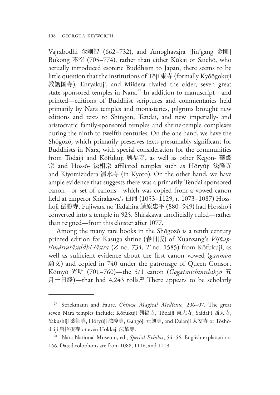Vajrabodhi 金剛智 (662–732), and Amoghavajra [Jin'gang 金剛] Bukong 不空 (705–774), rather than either Kūkai or Saichō, who actually introduced esoteric Buddhism to Japan, there seems to be little question that the institutions of Tōji 東寺 (formally Kyōōgokuji 教護国寺), Enryakuji, and Miidera rivaled the older, seven great state-sponsored temples in Nara.<sup>27</sup> In addition to manuscript—and printed—editions of Buddhist scriptures and commentaries held primarily by Nara temples and monasteries, pilgrims brought new editions and texts to Shingon, Tendai, and new imperially- and aristocratic family-sponsored temples and shrine-temple complexes during the ninth to twelfth centuries. On the one hand, we have the Shōgozō, which primarily preserves texts presumably significant for Buddhists in Nara, with special consideration for the communities from Tōdaiji and Kōfukuji 興福寺, as well as other Kegon- 華厳 宗 and Hossō- 法相宗 affiliated temples such as Hōryūji 法隆寺 and Kiyomizudera 清水寺 (in Kyoto). On the other hand, we have ample evidence that suggests there was a primarily Tendai sponsored canon—or set of canons—which was copied from a vowed canon held at emperor Shirakawa's 白河 (1053–1129, r. 1073–1087) Hosshōji 法勝寺. Fujiwara no Tadahira 藤原忠平 (880–949) had Hosshōji converted into a temple in 925. Shirakawa unofficially ruled—rather than reigned—from this cloister after 1077.

Among the many rare books in the Shōgozō is a tenth century printed edition for Kasuga shrine (春日版) of Xuanzang's *Vijñaptimātratāsiddhi-śāstra* (*Z* no. 734, *T* no. 1585) from Kōfukuji, as well as sufficient evidence about the first canon vowed (*ganmon* 願文) and copied in 740 under the patronage of Queen Consort Kōmyō 光明 (701–760)—the 5/1 canon (*Gogatsuichinichikyō* 五 月一日経)—that had 4,243 rolls.28 There appears to be scholarly

<sup>27</sup> Strickmann and Faure, *Chinese Magical Medicine*, 206–07. The great seven Nara temples include: Kōfukuji 興福寺, Tōdaiji 東大寺, Saidaiji 西大寺, Yakushiji 薬師寺, Hōryūji 法隆寺, Gangōji 元興寺, and Daianji 大安寺 or Tōshōdaiji 唐招提寺 or even Hokkeji 法華寺.

<sup>28</sup> Nara National Museum, ed., *Special Exhibit*, 54–56, English explanations 166. Dated colophons are from 1088, 1116, and 1119.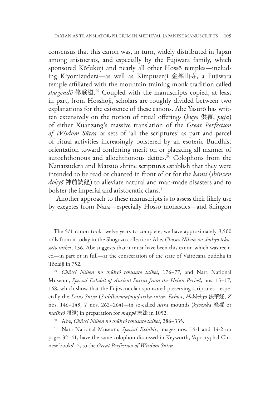consensus that this canon was, in turn, widely distributed in Japan among aristocrats, and especially by the Fujiwara family, which sponsored Kōfukuji and nearly all other Hossō temples—including Kiyomizudera—as well as Kimpusenji 金峯山寺, a Fujiwara temple affiliated with the mountain training monk tradition called *shugendō* 修験道. <sup>29</sup> Coupled with the manuscripts copied, at least in part, from Hosshōji, scholars are roughly divided between two explanations for the existence of these canons. Abe Yasurō has written extensively on the notion of ritual offerings (*kuyō* 供養, *pūjā*) of either Xuanzang's massive translation of the *Great Perfection of Wisdom Sūtra* or sets of 'all the scriptures' as part and parcel of ritual activities increasingly bolstered by an esoteric Buddhist orientation toward conferring merit on or placating all manner of autochthonous and allochthonous deities.<sup>30</sup> Colophons from the Nanatsudera and Matsuo shrine scriptures establish that they were intended to be read or chanted in front of or for the *kami* (*shinzen dokyō* 神前読経) to alleviate natural and man-made disasters and to bolster the imperial and aristocratic clans.<sup>31</sup>

Another approach to these manuscripts is to assess their likely use by exegetes from Nara—especially Hossō monastics—and Shingon

The 5/1 canon took twelve years to complete; we have approximately 3,500 rolls from it today in the Shōgozō collection: Abe, *Chūsei Nihon no shūkyō tekusuto taikei*, 156. Abe suggests that it must have been this canon which was recited—in part or in full—at the consecration of the state of Vairocana buddha in Tōdaiji in 752.

<sup>29</sup> *Chūsei Nihon no shūkyō tekusuto taikei*, 176–77; and Nara National Museum, *Special Exhibit of Ancient Sutras from the Heian Period*, nos. 15–17, 168, which show that the Fujiwara clan sponsored preserving scriptures—especially the *Lotus Sūtra* (*Saddharmapuṇḍarīka-sūtra*, *Fahua*, *Hokkekyō* 法華経, *Z* nos. 146–149, *T* nos. 262–264)—in so-called *sūtra* mounds (*kyōzuka* 経塚 or *maikyō* 埋経) in preparation for *mappō* 末法 in 1052.

<sup>30</sup> Abe, *Chūsei Nihon no shūkyō tekusuto taikei*, 286–335.

<sup>31</sup> Nara National Museum, *Special Exhibit*, images nos. 14-1 and 14-2 on pages 32–41, have the same colophon discussed in Keyworth, 'Apocryphal Chinese books', 2, to the *Great Perfection of Wisdom Sūtra*.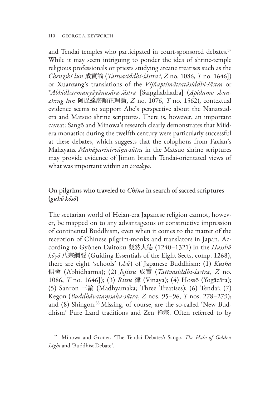and Tendai temples who participated in court-sponsored debates.<sup>32</sup> While it may seem intriguing to ponder the idea of shrine-temple religious professionals or priests studying arcane treatises such as the *Chengshi lun* 成實論 (*Tattvasiddhi-śāstra?*, *Z* no. 1086, *T* no. 1646]) or Xuanzang's translations of the *Vijñaptimātratāsiddhi-śāstra* or \**Abhidharmanyāyānusāra-śāstra* [Saṃghabhadra] (*Apidamo shunzheng lun* 阿毘達磨順正理論, *Z* no. 1076, *T* no. 1562), contextual evidence seems to support Abe's perspective about the Nanatsudera and Matsuo shrine scriptures. There is, however, an important caveat: Sangō and Minowa's research clearly demonstrates that Miidera monastics during the twelfth century were particularly successful at these debates, which suggests that the colophons from Faxian's Mahāyāna *Mahāparinirvāṇa-sūtra* in the Matsuo shrine scriptures may provide evidence of Jimon branch Tendai-orientated views of what was important within an *issaikyō*.

# On pilgrims who traveled to *China* in search of sacred scriptures (*guhō kōsō*)

The sectarian world of Heian-era Japanese religion cannot, however, be mapped on to any advantageous or constructive impression of continental Buddhism, even when it comes to the matter of the reception of Chinese pilgrim-monks and translators in Japan. According to Gyōnen Daitoku 凝然大德 (1240–1321) in the *Hasshū kōyō* 八宗綱要 (Guiding Essentials of the Eight Sects, comp. 1268), there are eight 'schools' (*shū*) of Japanese Buddhism: (1) *Kusha* 倶舍 (Abhidharma); (2) *Jōjitsu* 成實 (*Tattvasiddhi-śāstra*, *Z* no. 1086, *T* no. 1646]); (3) *Ritsu* 律 (Vinaya); (4) Hossō (Yogācāra); (5) Sanron 三論 (Madhyamaka; Three Treatises); (6) Tendai; (7) Kegon (*Buddhāvataṃsaka-sūtra*, *Z* nos. 95–96, *T* nos. 278–279); and (8) Shingon.<sup>33</sup> Missing, of course, are the so-called 'New Buddhism' Pure Land traditions and Zen 禅宗. Often referred to by

<sup>32</sup> Minowa and Groner, 'The Tendai Debates'; Sango, *The Halo of Golden Light* and 'Buddhist Debate'.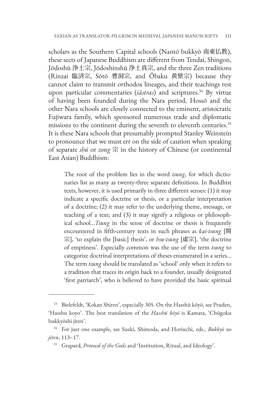scholars as the Southern Capital schools (Nantō bukkyō 南東仏教), these sects of Japanese Buddhism are different from Tendai, Shingon, Jōdoshū 浄土宗, Jōdoshinshū 浄土真宗, and the three Zen traditions (Rinzai 臨済宗, Sōtō 曹洞宗, and Ōbaku 黄檗宗) because they cannot claim to transmit orthodox lineages, and their teachings rest upon particular commentaries (*śāstras*) and scriptures.<sup>34</sup> By virtue of having been founded during the Nara period, Hossō and the other Nara schools are closely connected to the eminent, aristocratic Fujiwara family, which sponsored numerous trade and diplomatic missions to the continent during the seventh to eleventh centuries.<sup>35</sup> It is these Nara schools that presumably prompted Stanley Weinstein to pronounce that we must err on the side of caution when speaking of separate *shū* or *zong* 宗 in the history of Chinese (or continental East Asian) Buddhism:

The root of the problem lies in the word *tsung*, for which dictionaries list as many as twenty-three separate definitions. In Buddhist texts, however, it is used primarily in three different senses: (1) it may indicate a specific doctrine or thesis, or a particular interpretation of a doctrine; (2) it may refer to the underlying theme, message, or teaching of a text; and (3) it may signify a religious or philosophical school…*Tsung* in the sense of doctrine or thesis is frequently encountered in fifth-century texts in such phrases as *kai-tsung* [開 宗], 'to explain the [basic] thesis', or *hsu-tsung* [虛宗], 'the doctrine of emptiness'. Especially common was the use of the term *tsung* to categorize doctrinal interpretations of theses enumerated in a series… The term *tsung* should be translated as 'school' only when it refers to a tradition that traces its origin back to a founder, usually designated 'first patriarch', who is believed to have provided the basic spiritual

<sup>33</sup> Bielefeldt, 'Kokan Shiren', especially 305. On the Hasshū kōyō, see Pruden, 'Hasshu koyo'. The best translation of the *Hasshū kōyō* is Kamata, 'Chūgoku bukkyōshi jiten'.

<sup>34</sup> For just one example, see Sueki, Shimoda, and Horiuchi, eds., *Bukkyō no jiten*, 113–17.

<sup>35</sup> Grapard, *Protocol of the Gods* and 'Institution, Ritual, and Ideology'.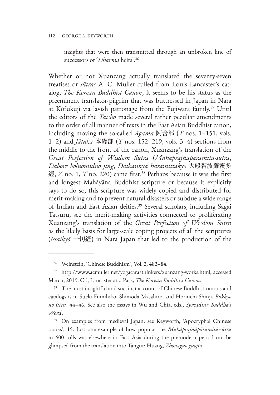#### 112 GEORGE A. KEYWORTH

insights that were then transmitted through an unbroken line of successors or '*Dharma* heirs'.36

Whether or not Xuanzang actually translated the seventy-seven treatises or *sūtras* A. C. Muller culled from Louis Lancaster's catalog, *The Korean Buddhist Canon*, it seems to be his status as the preeminent translator-pilgrim that was buttressed in Japan in Nara at Kōfukuji via lavish patronage from the Fujiwara family.37 Until the editors of the *Taishō* made several rather peculiar amendments to the order of all manner of texts in the East Asian Buddhist canon, including moving the so-called *Āgama* 阿含部 (*T* nos. 1–151, vols. 1–2) and *Jātaka* 本緣部 (*T* nos. 152–219, vols. 3–4) sections from the middle to the front of the canon, Xuanzang's translation of the *Great Perfection of Wisdom Sūtra* (*Mahāprajñāpāramitā-sūtra*, *Dabore boluomiduo jing*, *Daihannya haramittakyō* 大般若波羅蜜多 經, *Z* no. 1, *T* no. 220) came first.38 Perhaps because it was the first and longest Mahāyāna Buddhist scripture or because it explicitly says to do so, this scripture was widely copied and distributed for merit-making and to prevent natural disasters or subdue a wide range of Indian and East Asian deities.<sup>39</sup> Several scholars, including Sagai Tatsuru, see the merit-making activities connected to proliferating Xuanzang's translation of the *Great Perfection of Wisdom Sūtra* as the likely basis for large-scale coping projects of all the scriptures (*issaikyō* 一切経) in Nara Japan that led to the production of the

<sup>39</sup> On examples from medieval Japan, see Keyworth, 'Apocryphal Chinese books', 15. Just one example of how popular the *Mahāprajñāpāramitā-sūtra*  in 600 rolls was elsewhere in East Asia during the premodern period can be glimpsed from the translation into Tangut: Huang, *Zhongguo guojia*.

<sup>36</sup> Weinstein, 'Chinese Buddhism', Vol. 2, 482–84.

<sup>37</sup> http://www.acmuller.net/yogacara/thinkers/xuanzang-works.html, accessed March, 2019. Cf., Lancaster and Park, *The Korean Buddhist Canon*.

<sup>&</sup>lt;sup>38</sup> The most insightful and succinct account of Chinese Buddhist canons and catalogs is in Sueki Fumihiko, Shimoda Masahiro, and Horiuchi Shinji, *Bukkyō no jiten*, 44–46. See also the essays in Wu and Chia, eds., *Spreading Buddha's Word*.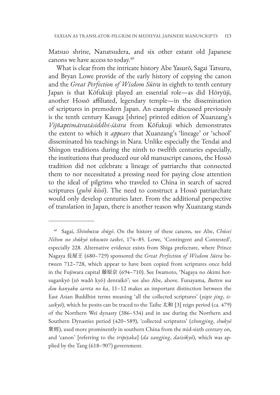Matsuo shrine, Nanatsudera, and six other extant old Japanese canons we have access to today.<sup>40</sup>

What is clear from the intricate history Abe Yasurō, Sagai Tatsuru, and Bryan Lowe provide of the early history of copying the canon and the *Great Perfection of Wisdom Sūtra* in eighth to tenth century Japan is that Kōfukuji played an essential role—as did Hōryūji, another Hossō affiliated, legendary temple—in the dissemination of scriptures in premodern Japan. An example discussed previously is the tenth century Kasuga [shrine] printed edition of Xuanzang's *Vijñaptimātratāsiddhi-śāstra* from Kōfukuji which demonstrates the extent to which it *appears* that Xuanzang's 'lineage' or 'school' disseminated his teachings in Nara. Unlike especially the Tendai and Shingon traditions during the ninth to twelfth centuries especially, the institutions that produced our old manuscript canons, the Hossō tradition did not celebrate a lineage of patriarchs that connected them to nor necessitated a pressing need for paying close attention to the ideal of pilgrims who traveled to China in search of sacred scriptures (*guhō kōsō*). The need to construct a Hossō patriarchate would only develop centuries later. From the additional perspective of translation in Japan, there is another reason why Xuanzang stands

<sup>40</sup> Sagai, *Shinbutsu shūgō*. On the history of these canons, see Abe, *Chūsei Nihon no shūkyō tekusuto taikei*, 174–85. Lowe, 'Contingent and Contested', especially 228. Alternative evidence exists from Shiga prefecture, where Prince Nagaya 長屋王 (680–729) sponsored the *Great Perfection of Wisdom Sūtra* between 712–728, which appear to have been copied from scriptures once held in the Fujiwara capital 藤原京 (694–710). See Iwamoto, 'Nagaya no ōkimi hotsugankyō (zō wadō kyō) denraikō'; see also Abe, above. Funayama, *Butten wa dou kanyaku sareta no ka*, 11–12 makes an important distinction between the East Asian Buddhist terms meaning 'all the collected scriptures' (*yiqie jing*, *issaikyō*), which he posits can be traced to the Taihe 太和 [3] reign period (ca. 479) of the Northern Wei dynasty (386–534) and in use during the Northern and Southern Dynasties period (420–589), 'collected scriptures' (*zhongjing*, *shukyō* 衆經), used more prominently in southern China from the mid-sixth century on, and 'canon' [referring to the *tripiṭaka*] (*da zangjing*, *daizōkyō*), which was applied by the Tang (618–907) government.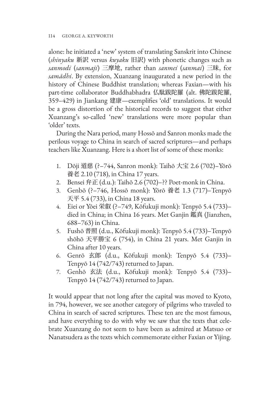alone: he initiated a 'new' system of translating Sanskrit into Chinese (*shinyaku* 新訳 versus *kuyaku* 旧訳) with phonetic changes such as *sanmodi* (*sanmaji*) 三摩地, rather than *sanmei* (*sanmai*) 三昧, for *samādhi*. By extension, Xuanzang inaugurated a new period in the history of Chinese Buddhist translation; whereas Faxian—with his part-time collaborator Buddhabhadra 仏駄跋陀羅 (alt. 佛陀跋陀羅, 359–429) in Jiankang 建康—exemplifies 'old' translations. It would be a gross distortion of the historical records to suggest that either Xuanzang's so-called 'new' translations were more popular than 'older' texts.

During the Nara period, many Hossō and Sanron monks made the perilous voyage to China in search of sacred scriptures—and perhaps teachers like Xuanzang. Here is a short list of some of these monks:

- 1. Dōji 道慈 (?–744, Sanron monk): Taihō 大宝 2.6 (702)–Yōrō 養老 2.10 (718), in China 17 years.
- 2. Bensei 弁正 (d.u.): Taihō 2.6 (702)–?? Poet-monk in China.
- 3. Genbō (?–746, Hossō monk): Yōrō 養老 1.3 (717)–Tenpyō 天平 5.4 (733), in China 18 years.
- 4. Eiei or Yōei 栄叡 (?–749, Kōfukuji monk): Tenpyō 5.4 (733)– died in China; in China 16 years. Met Ganjin 鑑真 (Jianzhen, 688–763) in China.
- 5. Fushō 普照 (d.u., Kōfukuji monk): Tenpyō 5.4 (733)–Tenpyō shōhō 天平勝宝 6 (754), in China 21 years. Met Ganjin in China after 10 years.
- 6. Genrō 玄郎 (d.u., Kōfukuji monk): Tenpyō 5.4 (733)– Tenpyō 14 (742/743) returned to Japan.
- 7. Genhō 玄法 (d.u., Kōfukuji monk): Tenpyō 5.4 (733)– Tenpyō 14 (742/743) returned to Japan.

It would appear that not long after the capital was moved to Kyoto, in 794, however, we see another category of pilgrims who traveled to China in search of sacred scriptures. These ten are the most famous, and have everything to do with why we saw that the texts that celebrate Xuanzang do not seem to have been as admired at Matsuo or Nanatsudera as the texts which commemorate either Faxian or Yijing.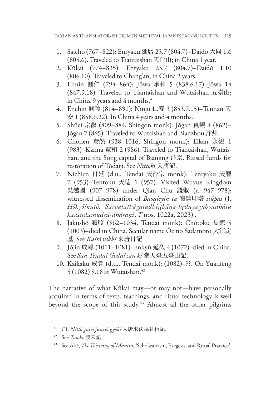- 1. Saichō (767–822): Enryaku 延暦 23.7 (804.7)–Daidō 大同 1.6 (805.6). Traveled to Tiantaishan 天台山; in China 1 year.
- 2. Kūkai (774–835): Enryaku 23.7 (804.7)–Daidō 1.10 (806.10). Traveled to Chang'an, in China 2 years.
- 3. Ennin 圓仁 (794–864): Jōwa 承和 5 (838.6.17)–Jōwa 14 (847.9.18). Traveled to Tiantaishan and Wutaishan 五臺山; in China 9 years and 4 months.<sup>41</sup>
- 4. Enchin 圓珍 (814–891): Ninju 仁寿 3 (853.7.15)–Tennan 天 安 1 (858.6.22). In China 4 years and 4 months.
- 5. Shūei 宗叡 (809–884, Shingon monk): Jōgan 貞観 4 (862)– Jōgan 7 (865). Traveled to Wutaishan and Bianzhou 汴州.
- 6. Chōnen 奝然 (938–1016, Shingon monk): Eikan 永観 1 (983)–Kanna 寛和 2 (986). Traveled to Tiantaishan, Wutaishan, and the Song capital of Bianjing 汴京. Raised funds for restoration of Tōdaiji. See *Nittōki* 入唐記.
- 7. Nichien 日延 (d.u., Tendai 天台宗 monk): Tenryaku 天暦 7 (953)–Tentoku 天徳 1 (957). Visited Wuyue Kingdom 吳越國 (907–978) under Qian Chu 錢俶 (r. 947–978); witnessed dissemination of *Baoqieyin ta* 寶篋印塔 *stūpas* (J. *Hōkyōinntō, Sarvatathāgatadhiṣṭhāna-hṛdayaguhyadhātu karaṇḍamudrā-dhāraṇī*, *T* nos. 1022a, 2023) .
- 8. Jakushō 寂照 (962–1034, Tendai monk): Chōtoku 長徳 5 (1003)–died in China. Secular name Ōe no Sadamoto 大江定 基. See *Raitō nikki* 来唐日記.
- 9. Jōjin 成尋 (1011–1081): Enkyū 延久 4 (1072)–died in China. See *San Tendai Godai san ki* 參天臺五臺山記.
- 10. Kaikaku 戒覚 (d.u., Tendai monk): (1082)–??. On Yuanfeng 5 (1082) 9.18 at Wutaishan.42

The narrative of what Kūkai may—or may not—have personally acquired in terms of texts, teachings, and ritual technology is well beyond the scope of this study.<sup>43</sup> Almost all the other pilgrims

<sup>41</sup> Cf. *Nittō guhō junrei gyōki* 入唐求法巡礼行記.

<sup>42</sup> See *Tosōki* 渡宋記.

<sup>43</sup> See Abé, *The Weaving of Mantra;* 'Scholasticism, Exegesis, and Ritual Practice'.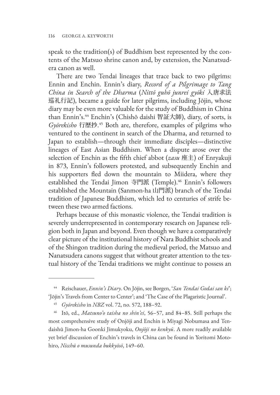speak to the tradition(s) of Buddhism best represented by the contents of the Matsuo shrine canon and, by extension, the Nanatsudera canon as well.

There are two Tendai lineages that trace back to two pilgrims: Ennin and Enchin. Ennin's diary, *Record of a Pilgrimage to Tang China in Search of the Dharma* (*Nittō guhō junrei gyōki* 入唐求法 巡礼行記), became a guide for later pilgrims, including Jōjin, whose diary may be even more valuable for the study of Buddhism in China than Ennin's.44 Enchin's (Chishō daishi 智証大師), diary, of sorts, is *Gyōrekisho* 行歴抄. <sup>45</sup> Both are, therefore, examples of pilgrims who ventured to the continent in search of the Dharma, and returned to Japan to establish—through their immediate disciples—distinctive lineages of East Asian Buddhism. When a dispute arose over the selection of Enchin as the fifth chief abbot (*zasu* 座主) of Enryakuji in 873, Ennin's followers protested, and subsequently Enchin and his supporters fled down the mountain to Miidera, where they established the Tendai Jimon 寺門派 (Temple).46 Ennin's followers established the Mountain (Sanmon-ha 山門派) branch of the Tendai tradition of Japanese Buddhism, which led to centuries of strife between these two armed factions.

Perhaps because of this monastic violence, the Tendai tradition is severely underrepresented in contemporary research on Japanese religion both in Japan and beyond. Even though we have a comparatively clear picture of the institutional history of Nara Buddhist schools and of the Shingon tradition during the medieval period, the Matsuo and Nanatsudera canons suggest that without greater attention to the textual history of the Tendai traditions we might continue to possess an

<sup>44</sup> Reischauer, *Ennin's Diary*. On Jōjin, see Borgen, '*San Tendai Godai san ki*'; 'Jōjin's Travels from Center to Center'; and 'The Case of the Plagaristic Journal'.

<sup>45</sup> *Gyōrekisho* in *NBZ* vol. 72, no. 572, 188–92.

<sup>46</sup> Itō, ed., *Matsuno'o taisha no shin'ei*, 56–57, and 84–85. Still perhaps the most comprehensive study of Onjōji and Enchin is Miyagi Nobumasa and Tendaishū Jimon-ha Goonki Jimukyoku, *Onjōji no kenkyū*. A more readily available yet brief discussion of Enchin's travels in China can be found in Yoritomi Motohiro, *Nicchū o musunda bukkyōsō*, 149–60.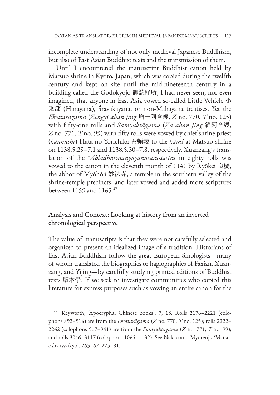incomplete understanding of not only medieval Japanese Buddhism, but also of East Asian Buddhist texts and the transmission of them.

Until I encountered the manuscript Buddhist canon held by Matsuo shrine in Kyoto, Japan, which was copied during the twelfth century and kept on site until the mid-nineteenth century in a building called the Godokyōjo 御読経所, I had never seen, nor even imagined, that anyone in East Asia vowed so-called Little Vehicle 小 乗部 (Hīnayāna), Śravakayāna, or non-Mahāyāna treatises. Yet the *Ekottarāgama* (*Zengyi ahan jing* 增一阿含經, *Z* no. 770, *T* no. 125) with fifty-one rolls and *Saṃyuktāgama* (*Za ahan jing* 雜阿含經, *Z* no. 771, *T* no. 99) with fifty rolls were vowed by chief shrine priest (*kannushi*) Hata no Yorichika 秦頼義 to the *kami* at Matsuo shrine on 1138.5.29–7.1 and 1138.5.30–7.8, respectively. Xuanzang's translation of the \**Abhidharmanyāyānusāra-śāstra* in eighty rolls was vowed to the canon in the eleventh month of 1141 by Ryōkei 良慶, the abbot of Myōhōji 妙法寺, a temple in the southern valley of the shrine-temple precincts, and later vowed and added more scriptures between 1159 and 1165.47

# Analysis and Context: Looking at history from an inverted chronological perspective

The value of manuscripts is that they were not carefully selected and organized to present an idealized image of a tradition. Historians of East Asian Buddhism follow the great European Sinologists—many of whom translated the biographies or hagiographies of Faxian, Xuanzang, and Yijing—by carefully studying printed editions of Buddhist texts 版本學. If we seek to investigate communities who copied this literature for express purposes such as vowing an entire canon for the

<sup>47</sup> Keyworth, 'Apocryphal Chinese books', 7, 18. Rolls 2176–2221 (colophons 892–916) are from the *Ekottarāgama* (*Z* no. 770, *T* no. 125); rolls 2222– 2262 (colophons 917–941) are from the *Saṃyuktāgama* (*Z* no. 771, *T* no. 99); and rolls 3046–3117 (colophons 1065–1132). See Nakao and Myōrenji, 'Matsuosha issaikyō', 263–67, 275–81.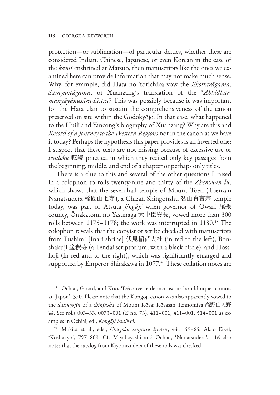protection—or sublimation—of particular deities, whether these are considered Indian, Chinese, Japanese, or even Korean in the case of the *kami* enshrined at Matsuo, then manuscripts like the ones we examined here can provide information that may not make much sense. Why, for example, did Hata no Yorichika vow the *Ekottarāgama*, *Saṃyuktāgama*, or Xuanzang's translation of the \**Abhidharmanyāyānusāra-śāstra*? This was possibly because it was important for the Hata clan to sustain the comprehensiveness of the canon preserved on site within the Godokyōjo. In that case, what happened to the Huili and Yancong's biography of Xuanzang? Why are this and *Record of a Journey to the Western Regions* not in the canon as we have it today? Perhaps the hypothesis this paper provides is an inverted one: I suspect that these texts are not missing because of excessive use or *tendoku* 転読 practice, in which they recited only key passages from the beginning, middle, and end of a chapter or perhaps only titles.

There is a clue to this and several of the other questions I raised in a colophon to rolls twenty-nine and thirty of the *Zhenyuan lu*, which shows that the seven-hall temple of Mount Tōen (Tōenzan Nanatsudera 稲園山七寺), a Chizan Shingonshū 智山真言宗 temple today, was part of Atsuta *jingūji* when governor of Owari 尾張 county, Ōnakatomi no Yasunaga 大中臣安長, vowed more than 300 rolls between 1175–1178; the work was interrupted in 1180.<sup>48</sup> The colophon reveals that the copyist or scribe checked with manuscripts from Fushimi [Inari shrine] 伏見稲荷大社 (in red to the left), Bonshakuji 盆釈寺 (a Tendai scriptorium, with a black circle), and Hosshōji (in red and to the right), which was significantly enlarged and supported by Emperor Shirakawa in 1077.<sup>49</sup> These collation notes are

<sup>48</sup> Ochiai, Girard, and Kuo, 'Découverte de manuscrits bouddhiques chinois au Japon', 370. Please note that the Kongōji canon was also apparently vowed to the *daimyōjin* of a *chinjusha* of Mount Kōya: Kōyasan Tennomiya 高野山天野 宮. See rolls 003–33, 0073–001 (*Z* no. 73), 411–001, 411–001, 514–001 as examples in Ochiai, ed., *Kongōji issaikyō*.

<sup>49</sup> Makita et al., eds., *Chūgoku senjutsu kyōten*, 441, 59–65; Akao Eikei, 'Koshakyō', 797–809. Cf. Miyabayashi and Ochiai, 'Nanatsudera', 116 also notes that the catalog from Kiyomizudera of these rolls was checked.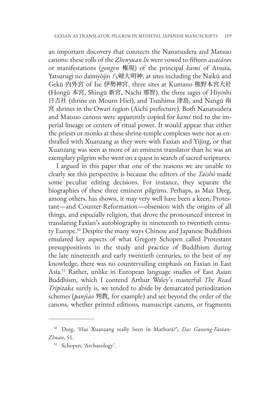an important discovery that connects the Nanatsudera and Matsuo canons: these rolls of the *Zhenyuan lu* were vowed to fifteen *avatāra*s or manifestations (*gongen* 権現) of the principal *kami* of Atsuta, Yatsurugi no daimyōjin 八剱大明神, at sites including the Naikū and Gekū 内外宮 of Ise 伊勢神宮, three sites at Kumano 熊野本宮大社 (Hongū 本宮, Shingū 新宮, Nachi 那智), the three sages of Hiyoshi 日吉社 (shrine on Mount Hiei), and Tsushima 津島, and Nangū 南 宮 shrines in the Owari region (Aichi prefecture). Both Nanatsudera and Matsuo canons were apparently copied for *kami* tied to the imperial lineage or centers of ritual power. It would appear that either the priests or monks at these shrine-temple complexes were not as enthralled with Xuanzang as they were with Faxian and Yijing, or that Xuanzang was seen as more of an eminent translator than he was an exemplary pilgrim who went on a quest in search of sacred scriptures.

I argued in this paper that one of the reasons we are unable to clearly see this perspective is because the editors of the *Taishō* made some peculiar editing decisions. For instance, they separate the biographies of these three eminent pilgrims. Perhaps, as Max Deeg, among others, has shown, it may very well have been a keen, Protestant—and Counter-Reformation—obsession with the origins of all things, and especially religion, that drove the pronounced interest in translating Faxian's autobiography in nineteenth to twentieth century Europe.50 Despite the many ways Chinese and Japanese Buddhists emulated key aspects of what Gregory Schopen called Protestant presuppositions in the study and practice of Buddhism during the late nineteenth and early twentieth centuries, to the best of my knowledge, there was no countervailing emphasis on Faxian in East Asia.51 Rather, unlike in European language studies of East Asian Buddhism, which I contend Arthur Waley's masterful *The Read Tripitaka* surely is, we tended to abide by demarcated periodization schemes (*panjiao* 判教, for example) and see beyond the order of the canons, whether printed editions, manuscript canons, or fragments

<sup>50</sup> Deeg, 'Has Xuanzang really been in Mathurā?'; *Das Gaoseng-Faxian-Zhuan*, 51.

<sup>51</sup> Schopen, 'Archaeology'.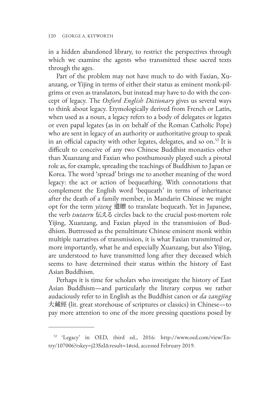in a hidden abandoned library, to restrict the perspectives through which we examine the agents who transmitted these sacred texts through the ages.

Part of the problem may not have much to do with Faxian, Xuanzang, or Yijing in terms of either their status as eminent monk-pilgrims or even as translators, but instead may have to do with the concept of legacy. The *Oxford English Dictionary* gives us several ways to think about legacy. Etymologically derived from French or Latin, when used as a noun, a legacy refers to a body of delegates or legates or even papal legates (as in on behalf of the Roman Catholic Pope) who are sent in legacy of an authority or authoritative group to speak in an official capacity with other legates, delegates, and so on.<sup>52</sup> It is difficult to conceive of any two Chinese Buddhist monastics other than Xuanzang and Faxian who posthumously played such a pivotal role as, for example, spreading the teachings of Buddhism to Japan or Korea. The word 'spread' brings me to another meaning of the word legacy: the act or action of bequeathing. With connotations that complement the English word 'bequeath' in terms of inheritance after the death of a family member, in Mandarin Chinese we might opt for the term *yizeng* 遺贈 to translate bequeath. Yet in Japanese, the verb *tsutaeru* 伝える circles back to the crucial post-mortem role Yijing, Xuanzang, and Faxian played in the transmission of Buddhism. Buttressed as the penultimate Chinese eminent monk within multiple narratives of transmission, it is what Faxian transmitted or, more importantly, what he and especially Xuanzang, but also Yijing, are understood to have transmitted long after they deceased which seems to have determined their status within the history of East Asian Buddhism.

Perhaps it is time for scholars who investigate the history of East Asian Buddhism—and particularly the literary corpus we rather audaciously refer to in English as the Buddhist canon or *da zangjing*  大藏經 (lit. great storehouse of scriptures or classics) in Chinese—to pay more attention to one of the more pressing questions posed by

<sup>52</sup> 'Legacy' in OED, third ed., 2016: http://www.oed.com/view/Entry/107006?rskey=j23SzI&result=1#eid, accessed February 2019.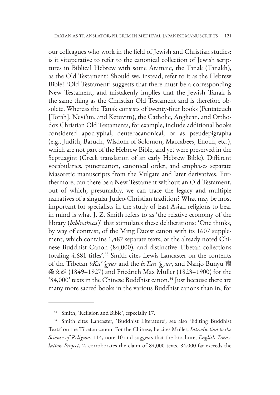our colleagues who work in the field of Jewish and Christian studies: is it vituperative to refer to the canonical collection of Jewish scriptures in Biblical Hebrew with some Aramaic, the Tanak (Tanakh), as the Old Testament? Should we, instead, refer to it as the Hebrew Bible? 'Old Testament' suggests that there must be a corresponding New Testament, and mistakenly implies that the Jewish Tanak is the same thing as the Christian Old Testament and is therefore obsolete. Whereas the Tanak consists of twenty-four books (Pentateuch [Torah], Nevi'im, and Ketuvim), the Catholic, Anglican, and Orthodox Christian Old Testaments, for example, include additional books considered apocryphal, deuterocanonical, or as pseudepigrapha (e.g., Judith, Baruch, Wisdom of Solomon, Maccabees, Enoch, etc.), which are not part of the Hebrew Bible, and yet were preserved in the Septuagint (Greek translation of an early Hebrew Bible). Different vocabularies, punctuation, canonical order, and emphases separate Masoretic manuscripts from the Vulgate and later derivatives. Furthermore, can there be a New Testament without an Old Testament, out of which, presumably, we can trace the legacy and multiple narratives of a singular Judeo-Christian tradition? What may be most important for specialists in the study of East Asian religions to bear in mind is what J. Z. Smith refers to as 'the relative economy of the library (*bibliotheca*)' that stimulates these deliberations: 'One thinks, by way of contrast, of the Ming Daoist canon with its 1607 supplement, which contains 1,487 separate texts, or the already noted Chinese Buddhist Canon (84,000), and distinctive Tibetan collections totaling 4,681 titles'.53 Smith cites Lewis Lancaster on the contents of the Tibetan *bKa' 'gyur* and the *bsTan 'gyur*, and Nanjō Bunyū 南 条文雄 (1849–1927) and Friedrich Max Müller (1823–1900) for the '84,000' texts in the Chinese Buddhist canon.<sup>54</sup> Just because there are many more sacred books in the various Buddhist canons than in, for

<sup>53</sup> Smith, 'Religion and Bible', especially 17.

<sup>54</sup> Smith cites Lancaster, 'Buddhist Literature'; see also 'Editing Buddhist Texts' on the Tibetan canon. For the Chinese, he cites Müller, *Introduction to the Science of Religion*, 114, note 10 and suggests that the brochure, *English Translation Project*, 2, corroborates the claim of 84,000 texts. 84,000 far exceeds the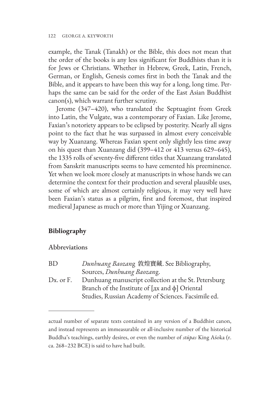example, the Tanak (Tanakh) or the Bible, this does not mean that the order of the books is any less significant for Buddhists than it is for Jews or Christians. Whether in Hebrew, Greek, Latin, French, German, or English, Genesis comes first in both the Tanak and the Bible, and it appears to have been this way for a long, long time. Perhaps the same can be said for the order of the East Asian Buddhist canon(s), which warrant further scrutiny.

Jerome (347–420), who translated the Septuagint from Greek into Latin, the Vulgate, was a contemporary of Faxian. Like Jerome, Faxian's notoriety appears to be eclipsed by posterity. Nearly all signs point to the fact that he was surpassed in almost every conceivable way by Xuanzang. Whereas Faxian spent only slightly less time away on his quest than Xuanzang did (399–412 or 413 versus 629–645), the 1335 rolls of seventy-five different titles that Xuanzang translated from Sanskrit manuscripts seems to have cemented his preeminence. Yet when we look more closely at manuscripts in whose hands we can determine the context for their production and several plausible uses, some of which are almost certainly religious, it may very well have been Faxian's status as a pilgrim, first and foremost, that inspired medieval Japanese as much or more than Yijing or Xuanzang.

# **Bibliography**

### Abbreviations

BD *Dunhuang Baozan*g 敦煌寶藏. See Bibliography, Sources, *Dunhuang Baozan*g. Dx. or F. Dunhuang manuscript collection at the St. Petersburg Branch of the Institute of [дx and ф] Oriental Studies, Russian Academy of Sciences. Facsimile ed.

actual number of separate texts contained in any version of a Buddhist canon, and instead represents an immeasurable or all-inclusive number of the historical Buddha's teachings, earthly desires, or even the number of *stūpas* King Aśoka (r. ca. 268–232 BCE) is said to have had built.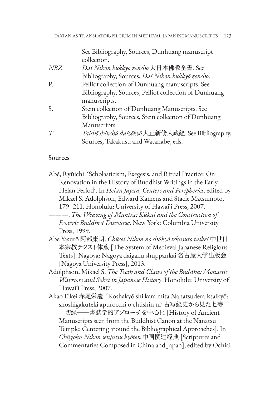See Bibliography, Sources, Dunhuang manuscript collection.

- *NBZ Dai Nihon bukkyō zensho* 大日本佛教全書. See Bibliography, Sources, *Dai Nihon bukkyō zensho*. P. Pelliot collection of Dunhuang manuscripts. See Bibliography, Sources, Pelliot collection of Dunhuang manuscripts. S. Stein collection of Dunhuang Manuscripts. See Bibliography, Sources, Stein collection of Dunhuang Manuscripts.
- *T Taishō shinshū daizōkyō* 大正新脩大蔵経. See Bibliography, Sources, Takakusu and Watanabe, eds.

### Sources

- Abé, Ryūichi. 'Scholasticism, Exegesis, and Ritual Practice: On Renovation in the History of Buddhist Writings in the Early Heian Period'. In *Heian Japan, Centers and Peripheries*, edited by Mikael S. Adolphson, Edward Kamens and Stacie Matsumoto, 179–211. Honolulu: University of Hawaiʻi Press, 2007.
- ———. *The Weaving of Mantra: Kūkai and the Construction of Esoteric Buddhist Discourse*. New York: Columbia University Press, 1999.
- Abe Yasurō 阿部康朗. *Chūsei Nihon no shūkyō tekusuto taikei* 中世日 本宗教テクスト体系 [The System of Medieval Japanese Religious Texts]. Nagoya: Nagoya daigaku shuppankai 名古屋大学出版会 [Nagoya University Press], 2013.
- Adolphson, Mikael S. *The Teeth and Claws of the Buddha: Monastic Warriors and Sōhei in Japanese History*. Honolulu: University of Hawaiʻi Press, 2007.
- Akao Eikei 赤尾栄慶. 'Koshakyō shi kara mita Nanatsudera issaikyō: shoshigakuteki apurocchi o chūshin ni' 古写経史から見た七寺 一切経──書誌学的アプローチを中心に [History of Ancient Manuscripts seen from the Buddhist Canon at the Nanatsu Temple: Centering around the Bibliographical Approaches]. In *Chūgoku Nihon senjutsu kyōten* 中国撰述経典 [Scriptures and Commentaries Composed in China and Japan], edited by Ochiai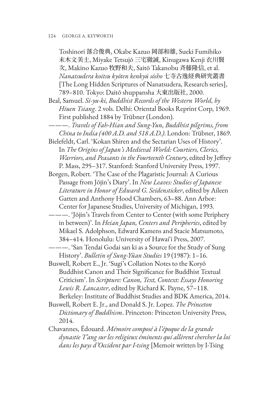Toshinori 落合俊典, Okabe Kazuo 岡部和雄, Sueki Fumihiko 末木文美士, Miyake Tetsujō 三宅徹誠, Kinugawa Kenji 衣川賢 次, Makino Kazuo 牧野和夫, Saitō Takanobu 斉藤隆信, et al. *Nanatsudera koitsu kyōten kenkyū sōsho* 七寺古逸経典研究叢書 [The Long Hidden Scriptures of Nanatsudera, Research series], 789–810. Tokyo: Daitō shuppansha 大東出版社, 2000.

Beal, Samuel. *Si-yu-ki, Buddhist Records of the Western World, by Hiuen Tsiang*. 2 vols. Delhi: Oriental Books Reprint Corp, 1969. First published 1884 by Trübner (London).

———. *Travels of Fah-Hian and Sung-Yun, Buddhist pilgrims, from China to India (400 A.D. and 518 A.D.)*. London: Trübner, 1869.

Bielefeldt, Carl. 'Kokan Shiren and the Sectarian Uses of History'. In *The Origins of Japan's Medieval World: Courtiers, Clerics, Warriors, and Peasants in the Fourteenth Century*, edited by Jeffrey P. Mass, 295–317. Stanford: Stanford University Press, 1997.

- Borgen, Robert. 'The Case of the Plagaristic Journal: A Curious Passage from Jōjin's Diary'. In *New Leaves: Studies of Japanese Literature in Honor of Edward G. Seidensticker*, edited by Aileen Gatten and Anthony Hood Chambers, 63–88. Ann Arbor: Center for Japanese Studies, University of Michigan, 1993.
- ———. 'Jōjin's Travels from Center to Center (with some Periphery in between)'. In *Heian Japan, Centers and Peripheries*, edited by Mikael S. Adolphson, Edward Kamens and Stacie Matsumoto, 384–414. Honolulu: University of Hawaiʻi Press, 2007.
- ———. 'San Tendai Godai san ki as a Source for the Study of Sung History'. *Bulletin of Sung-Yüan Studies* 19 (1987): 1–16.

Buswell, Robert E., Jr. 'Sugi's Collation Notes to the Koryŏ Buddhist Canon and Their Significance for Buddhist Textual Criticism'. In *Scripture: Canon, Text, Context: Essays Honoring Lewis R. Lancaster*, edited by Richard K. Payne, 57–118. Berkeley: Institute of Buddhist Studies and BDK America, 2014.

Buswell, Robert E. Jr., and Donald S. Jr. Lopez. *The Princeton Dictionary of Buddhism*. Princeton: Princeton University Press, 2014.

Chavannes, Édouard. *Mémoire composé à l'époque de la grande dynastie T'ang sur les religieux éminents qui allèrent chercher la loi dans les pays d'Occident par I-tsing* [Memoir written by I-Tsing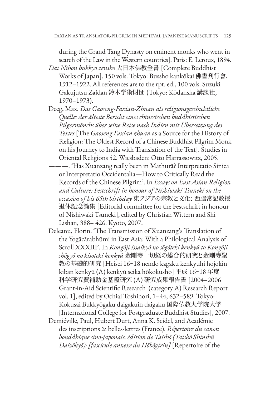during the Grand Tang Dynasty on eminent monks who went in search of the Law in the Western countries]. Paris: E. Leroux, 1894.

- *Dai Nihon bukkyō zensho* 大日本佛教全書 [Complete Buddhist Works of Japan]. 150 vols. Tokyo: Bussho kankōkai 佛書刊行會, 1912–1922. All references are to the rpt. ed., 100 vols. Suzuki Gakujutsu Zaidan 鈴木学術財団 (Tokyo: Kōdansha 講談社, 1970–1973).
- Deeg, Max. *Das Gaoseng-Faxian-Zhuan als religionsgeschichtliche Quelle: der älteste Bericht eines chinesischen buddhistischen Pilgermönchs über seine Reise nach Indien mit Übersetzung des Textes* [The *Gaoseng Faxian zhuan* as a Source for the History of Religion: The Oldest Record of a Chinese Buddhist Pilgrim Monk on his Journey to India with Translation of the Text]. Studies in Oriental Religions 52. Wiesbaden: Otto Harrassowitz, 2005.
	- ———. 'Has Xuanzang really been in Mathurā? Interpretatio Sinica or Interpretatio Occidentalia—How to Critically Read the Records of the Chinese Pilgrim'. In *Essays on East Asian Religion and Culture: Festschrift in honour of Nishiwaki Tsuneki on the occasion of his 65th birthday* 東アジアの宗教と文化: 西脇常記教授 退休記念論集 [Editorial committee for the Festschrift in honour of Nishiwaki Tsuneki], edited by Christian Wittern and Shi Lishan, 388– 426. Kyoto, 2007.
- Deleanu, Florin. 'The Transmission of Xuanzang's Translation of the Yogācārabhūmi in East Asia: With a Philological Analysis of Scroll XXXIII'. In *Kongōji issaikyō no sōgōteki kenkyū to Kongōji shōgyō no kisoteki kenkyū* 金剛寺一切経の総合的研究と金剛寺聖 教の基礎的研究 [Heisei 16~18 nendo kagaku kenkyūhi hojokin kiban kenkyū (A) kenkyū seika hōkokusho] 平成 16~18 年度 科学研究費補助金基盤研究 (A) 研究成果報告書 [2004–2006 Grant-in-Aid Scientific Research (category A) Research Report vol. 1], edited by Ochiai Toshinori, 1–44, 632–589. Tokyo: Kokusai Bukkyōgaku daigakuin daigaku 国際仏教大学院大学 [International College for Postgraduate Buddhist Studies], 2007.
- Demiéville, Paul, Hubert Durt, Anna K. Seidel, and Académie des inscriptions & belles-lettres (France). *Répertoire du canon bouddhique sino-japonais, édition de Taishō (Taishō Shinshū Daizōkyō): [fascicule annexe du Hōbōgirin]* [Repertoire of the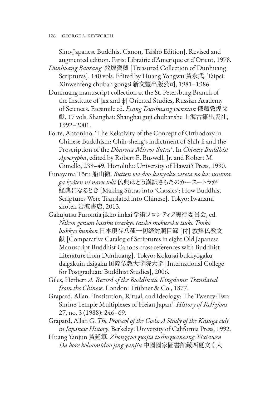Sino-Japanese Buddhist Canon, Taishō Edition]. Revised and augmented edition. Paris: Librairie d'Amerique et d'Orient, 1978.

- *Dunhuang Baozang* 敦煌寶藏 [Treasured Collection of Dunhuang Scriptures]. 140 vols. Edited by Huang Yongwu 黃永武. Taipei: Xinwenfeng chuban gongsi 新文豐出版公司, 1981–1986.
- Dunhuang manuscript collection at the St. Petersburg Branch of the Institute of [дx and ф] Oriental Studies, Russian Academy of Sciences. Facsimile ed. *Ecang Dunhuang wenxian* 俄藏敦煌文 獻, 17 vols. Shanghai: Shanghai guji chubanshe 上海古籍出版社, 1992–2001.
- Forte, Antonino. 'The Relativity of the Concept of Orthodoxy in Chinese Buddhism: Chih-sheng's indictment of Shih-li and the Proscription of the *Dharma Mirror Sutra*'. In *Chinese Buddhist Apocrypha*, edited by Robert E. Buswell, Jr. and Robert M. Gimello, 239–49. Honolulu: University of Hawaiʻi Press, 1990.
- Funayama Tōru 船山徹. *Butten wa dou kanyaku sareta no ka: suutora ga kyōten ni naru toki* 仏典はどう漢訳さらたのかースートラが 経典になるとき [Making Sūtras into 'Classics': How Buddhist Scriptures Were Translated into Chinese]. Tokyo: Iwanami shoten 岩波書店, 2013.
- Gakujutsu Furontia jikkō iinkai 学術フロンティア実行委員会, ed. *Nihon genson hasshu issaikyō taishō mokuroku tsuke Tonkō bukkyō bunken* 日本現存八種一切経対照目録 [付] 敦煌仏教文 献 [Comparative Catalog of Scriptures in eight Old Japanese Manuscript Buddhist Canons cross references with Buddhist Literature from Dunhuang]. Tokyo: Kokusai bukkyōgaku daigakuin daigaku 国際仏教大学院大学 [International College for Postgraduate Buddhist Studies], 2006.
- Giles, Herbert *A. Record of the Buddhistic Kingdoms: Translated from the Chinese*. London: Trübner & Co., 1877.
- Grapard, Allan. 'Institution, Ritual, and Ideology: The Twenty-Two Shrine-Temple Multiplexes of Heian Japan'. *History of Religions*  27, no. 3 (1988): 246–69.
- Grapard, Allan G. *The Protocol of the Gods: A Study of the Kasuga cult in Japanese History*. Berkeley: University of California Press, 1992.
- Huang Yanjun 黃延軍. *Zhongguo guojia tushuguancang Xixiawen Da bore boluomiduo jing yanjiu* 中國國家圖書館藏西夏文《 大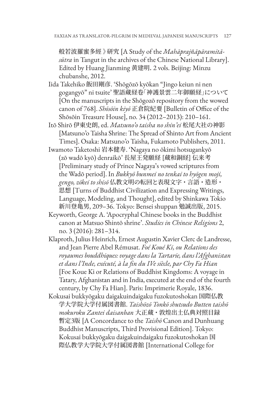般若波羅蜜多經 》研究 [A Study of the *Mahāprajñāpāramitāsūtra* in Tangut in the archives of the Chinese National Library]. Edited by Huang Jianming 黄建明. 2 vols. Beijing: Minzu chubanshe, 2012.

- Iida Takehiko 飯田剛彦. 'Shōgōzō kyōkan "Jingo keiun ni nen gogangyō" ni tsuite' 聖語蔵経卷「神護景雲二年御願経」について [On the manuscripts in the Shōgozō repository from the wowed canon of 768]. *Shōsōin kiyō* 正倉院紀要 [Bulletin of Office of the Shōsōin Treasure House], no. 34 (2012–2013): 210–161.
- Itō Shirō 伊東史朗, ed. *Matsuno'o taisha no shin'ei* 松尾大社の神影 [Matsuno'o Taisha Shrine: The Spread of Shinto Art from Ancient Times]. Osaka: Matsuno'o Taisha, Fukamoto Publishers, 2011.
- Iwamoto Taketoshi 岩本健寿. 'Nagaya no ōkimi hotsugankyō (zō wadō kyō) denraikō' 長屋王発願経 [蔵和銅経] 伝来考 [Preliminary study of Prince Nagaya's vowed scriptures from the Wadō period]. In *Bukkyō bunmei no tenkai to hyōgen moji, gengo, zōkei to shisō* 仏教文明の転回と表現文字・言語・造形・ 思想 [Turns of Buddhist Civilization and Expressing Writings, Language, Modeling, and Thought], edited by Shinkawa Tokio 新川登亀男, 209–36. Tokyo: Bensei shuppan 勉誠出版, 2015.
- Keyworth, George A. 'Apocryphal Chinese books in the Buddhist canon at Matsuo Shintō shrine'. *Studies in Chinese Religions* 2, no. 3 (2016): 281–314.
- Klaproth, Julius Heinrich, Ernest Augustin Xavier Clerc de Landresse, and Jean Pierre Abel Rémusat. *Foé Koué Ki, ou Relations des royaumes bouddhiques: voyage dans la Tartarie, dans l'Afghanistan et dans l'Inde, exécuté, à la fin du IVe siècle, par Chy Fa Hian* [Foe Koue Ki or Relations of Buddhist Kingdoms: A voyage in Tatary, Afghanistan and in India, executed at the end of the fourth century, by Chy Fa Hian]. Paris: Imprimerie Royale, 1836.
- Kokusai bukkyōgaku daigakuindaigaku fuzokutoshokan 国際仏教 学大学院大学付属図書館. *Taishōzō Tonkō shutsudo Butten taishō mokuroku Zantei daisanban* 大正蔵・敦煌出土仏典対照目録 暫定3版 [A Concordance to the *Taishō* Canon and Dunhuang Buddhist Manuscripts, Third Provisional Edition]. Tokyo: Kokusai bukkyōgaku daigakuindaigaku fuzokutoshokan 国 際仏教学大学院大学付属図書館 [International College for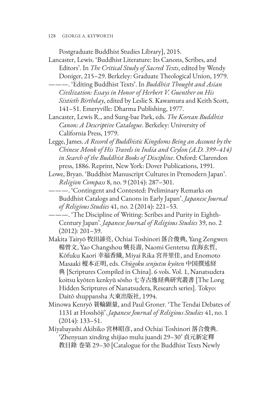Postgraduate Buddhist Studies Library], 2015.

- Lancaster, Lewis. 'Buddhist Literature: Its Canons, Scribes, and Editors'. In *The Critical Study of Sacred Texts*, edited by Wendy Doniger, 215–29. Berkeley: Graduate Theological Union, 1979.
- ———. 'Editing Buddhist Texts'. In *Buddhist Thought and Asian Civilization: Essays in Honor of Herbert V. Guenther on His Sixtieth Birthday*, edited by Leslie S. Kawamura and Keith Scott, 141–51. Emeryville: Dharma Publishing, 1977.
- Lancaster, Lewis R., and Sung-bae Park, eds. *The Korean Buddhist Canon: A Descriptive Catalogue*. Berkeley: University of California Press, 1979.
- Legge, James. *A Record of Buddhistic Kingdoms Being an Account by the Chinese Monk of His Travels in India and Ceylon (A.D. 399*–*414) in Search of the Buddhist Books of Discipline*. Oxford: Clarendon press, 1886. Reprint, New York: Dover Publications, 1991.
- Lowe, Bryan. 'Buddhist Manuscript Cultures in Premodern Japan'. *Religion Compass* 8, no. 9 (2014): 287–301.
- ———. 'Contingent and Contested: Preliminary Remarks on Buddhist Catalogs and Canons in Early Japan'. *Japanese Journal of Religious Studies* 41, no. 2 (2014): 221–53.
- ———. 'The Discipline of Writing: Scribes and Purity in Eighth-Century Japan'. *Japanese Journal of Religious Studies* 39, no. 2 (2012): 201–39.
- Makita Tairyō 牧田諦亮, Ochiai Toshinori 落合俊典, Yang Zengwen 楊曾文, Yao Changshou 姚長壽, Naomi Gentetsu 直海玄哲, Kōfuku Kaori 幸福香織, Miyai Rika 宮井里佳, and Enomoto Masaaki 榎本正明, eds. *Chūgoku senjutsu kyōten* 中国撰述経 典 [Scriptures Compiled in China]. 6 vols. Vol. 1, Nanatsudera koitsu kyōten kenkyū sōsho 七寺古逸経典研究叢書 [The Long Hidden Scriptures of Nanatsudera, Research series]. Tokyo: Daitō shuppansha 大東出版社, 1994.
- Minowa Kenryō 蓑輪顕量, and Paul Groner. 'The Tendai Debates of 1131 at Hosshōji'. *Japanese Journal of Religious Studies* 41, no. 1 (2014): 133–51.
- Miyabayashi Akihiko 宮林昭彦, and Ochiai Toshinori 落合俊典. 'Zhenyuan xinding shijiao mulu juandi 29–30' 貞元新定釋 教目錄 巻第 29–30 [Catalogue for the Buddhist Texts Newly

<sup>128</sup> GEORGE A. KEYWORTH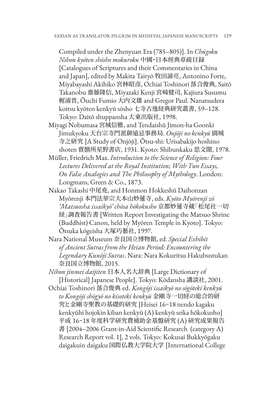Compiled under the Zhenyuan Era (785–805)]. In *Chūgoku Nihon kyōten shōsho mokuroku* 中國・日本經典章疏目録 [Catalogues of Scriptures and their Commentaries in China and Japan], edited by Makita Tairyō 牧田諦亮, Antonino Forte, Miyabayashi Akihiko 宮林昭彦, Ochiai Toshinori 落合俊典, Saitō Takanobu 齋藤隆信, Miyazaki Kenji 宮崎健司, Kajiura Susumu 梶浦晋, Ōuchi Fumio 大内文雄 and Gregor Paul. Nanatsudera koitsu kyōten kenkyū sōsho 七寺古逸経典研究叢書, 59–128. Tokyo: Daitō shuppansha 大東出版社, 1998.

- Miyagi Nobumasa 宮城信雅, and Tendaishū Jimon-ha Goonki Jimukyoku 天台宗寺門派御遠忌事務局. *Onjōji no kenkyū* 園城 寺之研究 [A Study of Onjōji]. Ōtsu-shi: Urisabakijo hoshino shoten 賣捌所星野書店, 1931. Kyoto: Shibunkaku 思文閣, 1978.
- Müller, Friedrich Max. *Introduction to the Science of Religion: Four Lectures Delivered at the Royal Institution; With Two Essays, On False Analogies and The Philosophy of Mythology*. London: Longmans, Green & Co., 1873.
- Nakao Takashi 中尾堯, and Honmon Hokkeshū Daihonzan Myōrenji 本門法華宗大本山妙蓮寺, eds. *Kyōto Myōrenji zō 'Matsuosha issaikyō' chōsa hōkokusho* 京都妙蓮寺蔵「松尾社一切 経」調査報告書 [Written Report Investigating the Matsuo Shrine (Buddhist) Canon, held by Myōren Temple in Kyoto]. Tokyo: Ōtsuka kōgeisha 大塚巧藝社, 1997.
- Nara National Museum 奈良国立博物館, ed. *Special Exhibit of Ancient Sutras from the Heian Period: Encountering the Legendary Kunōji Sutras*. Nara: Nara Kokuritsu Hakubustukan 奈良国立博物館, 2015.
- *Nihon jinmei daijiten* 日本人名大辞典 [Large Dictionary of [Historical] Japanese People]. Tokyo: Kōdansha 講談社, 2001.
- Ochiai Toshinori 落合俊典 ed. *Kongōji issaikyō no sōgōteki kenkyū to Kongōji shōgyō no kisoteki kenkyū* 金剛寺一切経の総合的研 究と金剛寺聖教の基礎的研究 [Heisei 16~18 nendo kagaku kenkyūhi hojokin kiban kenkyū (A) kenkyū seika hōkokusho] 平成 16~18 年度科学研究費補助金基盤研究 (A) 研究成果報告 書 [2004–2006 Grant-in-Aid Scientific Research (category A) Research Report vol. 1], 2 vols. Tokyo: Kokusai Bukkyōgaku daigakuin daigaku 国際仏教大学院大学 [International College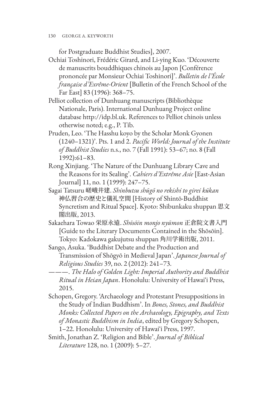for Postgraduate Buddhist Studies], 2007.

- Ochiai Toshinori, Frédéric Girard, and Li-ying Kuo. 'Découverte de manuscrits bouddhiques chinois au Japon [Conférence prononcée par Monsieur Ochiai Toshinori]'. *Bulletin de l'École française d'Exrême-Orient* [Bulletin of the French School of the Far East] 83 (1996): 368–75.
- Pelliot collection of Dunhuang manuscripts (Bibliothèque Nationale, Paris). International Dunhuang Project online database http://idp.bl.uk. References to Pelliot chinois unless otherwise noted; e.g., P. Tib.
- Pruden, Leo. 'The Hasshu koyo by the Scholar Monk Gyonen (1240–1321)'. Pts. 1 and 2. *Pacific World: Journal of the Institute of Buddhist Studies* n.s., no. 7 (Fall 1991): 53–67; no. 8 (Fall 1992):61–83.
- Rong Xinjiang. 'The Nature of the Dunhuang Library Cave and the Reasons for its Sealing'. *Cahiers d'Extrême Asie* [East-Asian Journal] 11, no. 1 (1999): 247–75.
- Sagai Tatsuru 嵯峨井建. *Shinbutsu shūgō no rekishi to girei kūkan* 神仏習合の歴史と儀礼空間 [History of Shintō-Buddhist Syncretism and Ritual Space]. Kyoto: Shibunkaku shuppan 思文 閣出版, 2013.
- Sakaehara Towao 栄原永遠. *Shōsōin monjo nyūmon* 正倉院文書入門 [Guide to the Literary Documents Contained in the Shōsōin]. Tokyo: Kadokawa gakujutsu shuppan 角川学術出版, 2011.
- Sango, Asuka. 'Buddhist Debate and the Production and Transmission of Shōgyō in Medieval Japan'. *Japanese Journal of Religious Studies* 39, no. 2 (2012): 241–73.
- ———. *The Halo of Golden Light: Imperial Authority and Buddhist Ritual in Heian Japan*. Honolulu: University of Hawaiʻi Press, 2015.
- Schopen, Gregory. 'Archaeology and Protestant Presuppositions in the Study of Indian Buddhism'. In *Bones, Stones, and Buddhist Monks: Collected Papers on the Archaeology, Epigraphy, and Texts of Monastic Buddhism in India*, edited by Gregory Schopen, 1–22. Honolulu: University of Hawaiʻi Press, 1997.
- Smith, Jonathan Z. 'Religion and Bible'. *Journal of Biblical Literature* 128, no. 1 (2009): 5–27.

<sup>130</sup> GEORGE A. KEYWORTH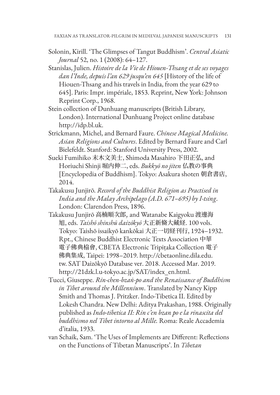- Solonin, Kirill. 'The Glimpses of Tangut Buddhism'. *Central Asiatic Journal* 52, no. 1 (2008): 64–127.
- Stanislas, Julien. *Histoire de la Vie de Hiouen-Thsang et de ses voyages dan l'Inde, depuis l'an 629 jusqu'en 645* [History of the life of Hiouen-Thsang and his travels in India, from the year 629 to 645]. Paris: Impr. impériale, 1853. Reprint, New York: Johnson Reprint Corp., 1968.
- Stein collection of Dunhuang manuscripts (British Library, London). International Dunhuang Project online database http://idp.bl.uk.
- Strickmann, Michel, and Bernard Faure. *Chinese Magical Medicine. Asian Religions and Cultures*. Edited by Bernard Faure and Carl Bielefeldt. Stanford: Stanford University Press, 2002.
- Sueki Fumihiko 末木文美士, Shimoda Masahiro 下田正弘, and Horiuchi Shinji 堀内伸二, eds. *Bukkyō no jiten* 仏教の事典 [Encyclopedia of Buddhism]. Tokyo: Asakura shoten 朝倉書店, 2014.
- Takakusu Junjirō. *Record of the Buddhist Religion as Practised in India and the Malay Archipelago (A.D. 671–695) by I-tsing*. London: Clarendon Press, 1896.
- Takakusu Junjirō 高楠順次郎, and Watanabe Kaigyoku 渡邊海 旭, eds. *Taishō shinshū daizōkyō* 大正新脩大藏経. 100 vols. Tokyo: Taishō issaikyō kankōkai 大正一切経刊行, 1924–1932. Rpt., Chinese Buddhist Electronic Texts Association 中華 電子佛典栛會, CBETA Electronic Tripiṭaka Collection 電子 佛典集成, Taipei: 1998–2019. http://cbetaonline.dila.edu. tw. SAT Daizōkyō Database ver. 2018. Accessed Mar. 2019. http://21dzk.l.u-tokyo.ac.jp/SAT/index\_en.html.
- Tucci, Giuseppe. *Rin-chen-bzaṅ-po and the Renaissance of Buddhism in Tibet around the Millennium*. Translated by Nancy Kipp Smith and Thomas J. Pritzker. Indo-Tibetica II. Edited by Lokesh Chandra. New Delhi: Aditya Prakashan, 1988. Originally published as *Indo-tibetica II: Rin c'en bzan po e la rinascita del buddhismo nel Tibet intorno al Mille.* Roma: Reale Accademia d'italia, 1933.
- van Schaik, Sam. 'The Uses of Implements are Different: Reflections on the Functions of Tibetan Manuscripts'. In *Tibetan*